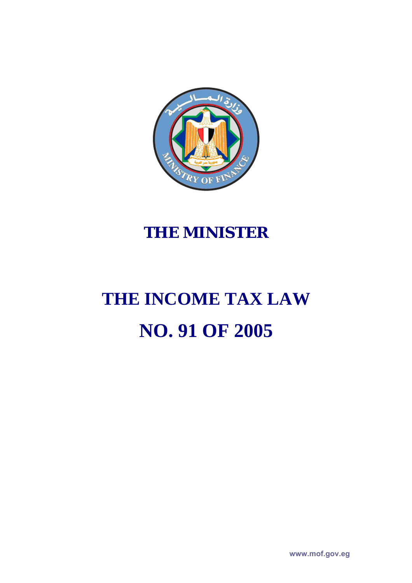

# **THE MINISTER**

# **THE INCOME TAX LAW NO. 91 OF 2005**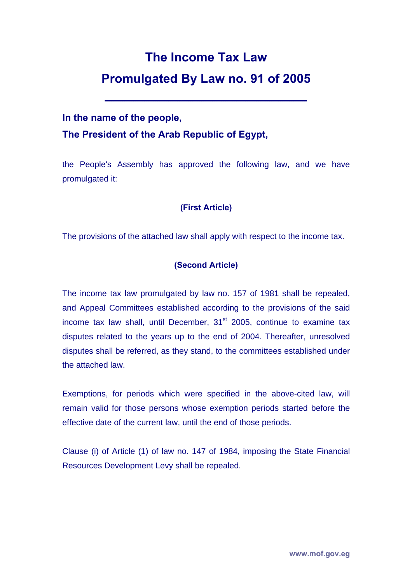# **The Income Tax Law Promulgated By Law no. 91 of 2005**

**ــــــــــــــــــــــــــــــــــــــــــــــــــــــــــــــــــــــــــــــــــــــــــــ**

### **In the name of the people, The President of the Arab Republic of Egypt,**

the People's Assembly has approved the following law, and we have promulgated it:

#### **(First Article)**

The provisions of the attached law shall apply with respect to the income tax.

#### **(Second Article)**

The income tax law promulgated by law no. 157 of 1981 shall be repealed, and Appeal Committees established according to the provisions of the said income tax law shall, until December,  $31<sup>st</sup>$  2005, continue to examine tax disputes related to the years up to the end of 2004. Thereafter, unresolved disputes shall be referred, as they stand, to the committees established under the attached law.

Exemptions, for periods which were specified in the above-cited law, will remain valid for those persons whose exemption periods started before the effective date of the current law, until the end of those periods.

Clause (i) of Article (1) of law no. 147 of 1984, imposing the State Financial Resources Development Levy shall be repealed.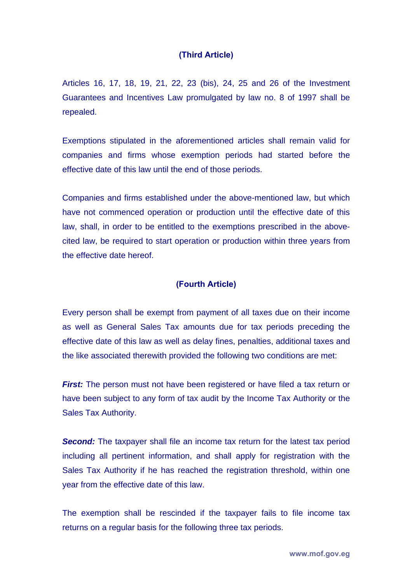#### **(Third Article)**

Articles 16, 17, 18, 19, 21, 22, 23 (bis), 24, 25 and 26 of the Investment Guarantees and Incentives Law promulgated by law no. 8 of 1997 shall be repealed.

Exemptions stipulated in the aforementioned articles shall remain valid for companies and firms whose exemption periods had started before the effective date of this law until the end of those periods.

Companies and firms established under the above-mentioned law, but which have not commenced operation or production until the effective date of this law, shall, in order to be entitled to the exemptions prescribed in the abovecited law, be required to start operation or production within three years from the effective date hereof.

#### **(Fourth Article)**

Every person shall be exempt from payment of all taxes due on their income as well as General Sales Tax amounts due for tax periods preceding the effective date of this law as well as delay fines, penalties, additional taxes and the like associated therewith provided the following two conditions are met:

*First:* The person must not have been registered or have filed a tax return or have been subject to any form of tax audit by the Income Tax Authority or the Sales Tax Authority.

**Second:** The taxpayer shall file an income tax return for the latest tax period including all pertinent information, and shall apply for registration with the Sales Tax Authority if he has reached the registration threshold, within one year from the effective date of this law.

The exemption shall be rescinded if the taxpayer fails to file income tax returns on a regular basis for the following three tax periods.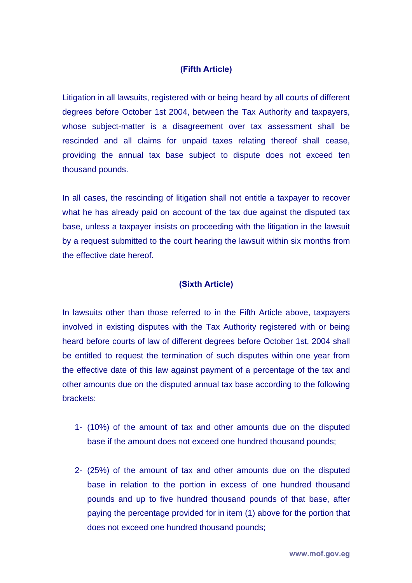#### **(Fifth Article)**

Litigation in all lawsuits, registered with or being heard by all courts of different degrees before October 1st 2004, between the Tax Authority and taxpayers, whose subject-matter is a disagreement over tax assessment shall be rescinded and all claims for unpaid taxes relating thereof shall cease, providing the annual tax base subject to dispute does not exceed ten thousand pounds.

In all cases, the rescinding of litigation shall not entitle a taxpayer to recover what he has already paid on account of the tax due against the disputed tax base, unless a taxpayer insists on proceeding with the litigation in the lawsuit by a request submitted to the court hearing the lawsuit within six months from the effective date hereof.

#### **(Sixth Article)**

In lawsuits other than those referred to in the Fifth Article above, taxpayers involved in existing disputes with the Tax Authority registered with or being heard before courts of law of different degrees before October 1st, 2004 shall be entitled to request the termination of such disputes within one year from the effective date of this law against payment of a percentage of the tax and other amounts due on the disputed annual tax base according to the following brackets:

- 1- (10%) of the amount of tax and other amounts due on the disputed base if the amount does not exceed one hundred thousand pounds;
- 2- (25%) of the amount of tax and other amounts due on the disputed base in relation to the portion in excess of one hundred thousand pounds and up to five hundred thousand pounds of that base, after paying the percentage provided for in item (1) above for the portion that does not exceed one hundred thousand pounds;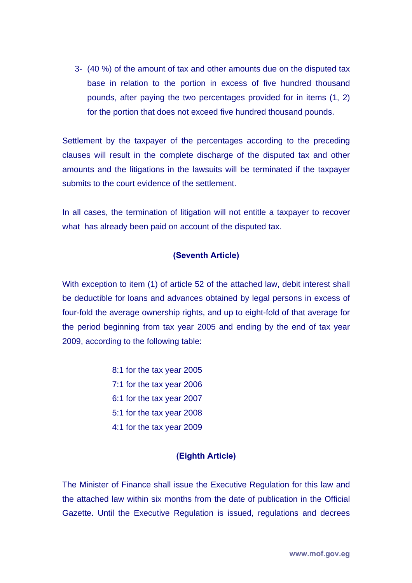3- (40 %) of the amount of tax and other amounts due on the disputed tax base in relation to the portion in excess of five hundred thousand pounds, after paying the two percentages provided for in items (1, 2) for the portion that does not exceed five hundred thousand pounds.

Settlement by the taxpayer of the percentages according to the preceding clauses will result in the complete discharge of the disputed tax and other amounts and the litigations in the lawsuits will be terminated if the taxpayer submits to the court evidence of the settlement.

In all cases, the termination of litigation will not entitle a taxpayer to recover what has already been paid on account of the disputed tax.

#### **(Seventh Article)**

With exception to item (1) of article 52 of the attached law, debit interest shall be deductible for loans and advances obtained by legal persons in excess of four-fold the average ownership rights, and up to eight-fold of that average for the period beginning from tax year 2005 and ending by the end of tax year 2009, according to the following table:

> 8:1 for the tax year 2005 7:1 for the tax year 2006 6:1 for the tax year 2007 5:1 for the tax year 2008 4:1 for the tax year 2009

#### **(Eighth Article)**

The Minister of Finance shall issue the Executive Regulation for this law and the attached law within six months from the date of publication in the Official Gazette. Until the Executive Regulation is issued, regulations and decrees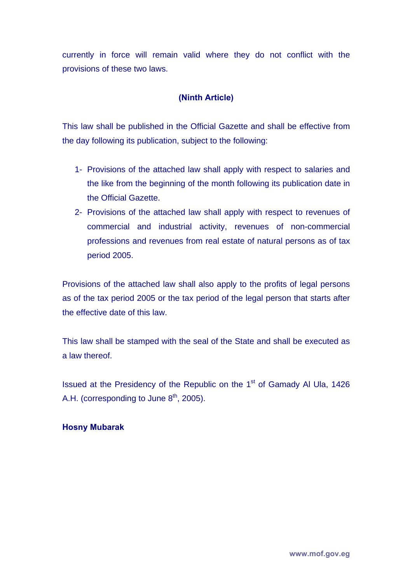currently in force will remain valid where they do not conflict with the provisions of these two laws.

#### **(Ninth Article)**

This law shall be published in the Official Gazette and shall be effective from the day following its publication, subject to the following:

- 1- Provisions of the attached law shall apply with respect to salaries and the like from the beginning of the month following its publication date in the Official Gazette.
- 2- Provisions of the attached law shall apply with respect to revenues of commercial and industrial activity, revenues of non-commercial professions and revenues from real estate of natural persons as of tax period 2005.

Provisions of the attached law shall also apply to the profits of legal persons as of the tax period 2005 or the tax period of the legal person that starts after the effective date of this law.

This law shall be stamped with the seal of the State and shall be executed as a law thereof.

Issued at the Presidency of the Republic on the 1<sup>st</sup> of Gamady Al Ula, 1426 A.H. (corresponding to June  $8<sup>th</sup>$ , 2005).

#### **Hosny Mubarak**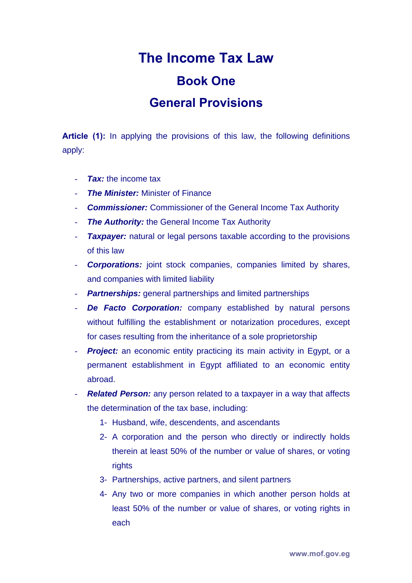# **The Income Tax Law Book One General Provisions**

**Article (1):** In applying the provisions of this law, the following definitions apply:

- *Tax:* the income tax
- *The Minister: Minister of Finance*
- **Commissioner:** Commissioner of the General Income Tax Authority
- *The Authority:* the General Income Tax Authority
- *Taxpayer:* natural or legal persons taxable according to the provisions of this law
- **Corporations:** joint stock companies, companies limited by shares, and companies with limited liability
- *Partnerships:* general partnerships and limited partnerships
- *De Facto Corporation:* company established by natural persons without fulfilling the establishment or notarization procedures, except for cases resulting from the inheritance of a sole proprietorship
- **Project:** an economic entity practicing its main activity in Egypt, or a permanent establishment in Egypt affiliated to an economic entity abroad.
- *Related Person:* any person related to a taxpayer in a way that affects the determination of the tax base, including:
	- 1- Husband, wife, descendents, and ascendants
	- 2- A corporation and the person who directly or indirectly holds therein at least 50% of the number or value of shares, or voting rights
	- 3- Partnerships, active partners, and silent partners
	- 4- Any two or more companies in which another person holds at least 50% of the number or value of shares, or voting rights in each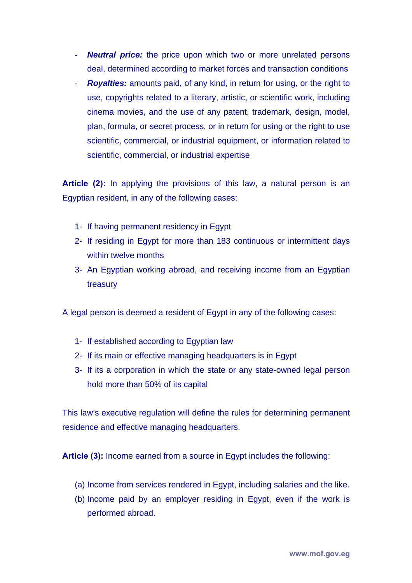- **Neutral price:** the price upon which two or more unrelated persons deal, determined according to market forces and transaction conditions
- *Royalties:* amounts paid, of any kind, in return for using, or the right to use, copyrights related to a literary, artistic, or scientific work, including cinema movies, and the use of any patent, trademark, design, model, plan, formula, or secret process, or in return for using or the right to use scientific, commercial, or industrial equipment, or information related to scientific, commercial, or industrial expertise

**Article (2):** In applying the provisions of this law, a natural person is an Egyptian resident, in any of the following cases:

- 1- If having permanent residency in Egypt
- 2- If residing in Egypt for more than 183 continuous or intermittent days within twelve months
- 3- An Egyptian working abroad, and receiving income from an Egyptian treasury

A legal person is deemed a resident of Egypt in any of the following cases:

- 1- If established according to Egyptian law
- 2- If its main or effective managing headquarters is in Egypt
- 3- If its a corporation in which the state or any state-owned legal person hold more than 50% of its capital

This law's executive regulation will define the rules for determining permanent residence and effective managing headquarters.

**Article (3):** Income earned from a source in Egypt includes the following:

- (a) Income from services rendered in Egypt, including salaries and the like.
- (b) Income paid by an employer residing in Egypt, even if the work is performed abroad.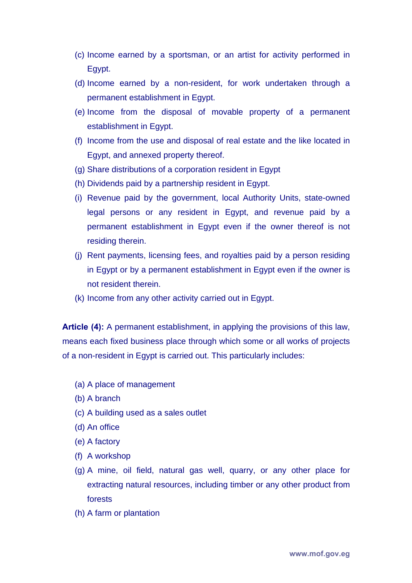- (c) Income earned by a sportsman, or an artist for activity performed in Egypt.
- (d) Income earned by a non-resident, for work undertaken through a permanent establishment in Egypt.
- (e) Income from the disposal of movable property of a permanent establishment in Egypt.
- (f) Income from the use and disposal of real estate and the like located in Egypt, and annexed property thereof.
- (g) Share distributions of a corporation resident in Egypt
- (h) Dividends paid by a partnership resident in Egypt.
- (i) Revenue paid by the government, local Authority Units, state-owned legal persons or any resident in Egypt, and revenue paid by a permanent establishment in Egypt even if the owner thereof is not residing therein.
- (j) Rent payments, licensing fees, and royalties paid by a person residing in Egypt or by a permanent establishment in Egypt even if the owner is not resident therein.
- (k) Income from any other activity carried out in Egypt.

**Article (4):** A permanent establishment, in applying the provisions of this law, means each fixed business place through which some or all works of projects of a non-resident in Egypt is carried out. This particularly includes:

- (a) A place of management
- (b) A branch
- (c) A building used as a sales outlet
- (d) An office
- (e) A factory
- (f) A workshop
- (g) A mine, oil field, natural gas well, quarry, or any other place for extracting natural resources, including timber or any other product from forests
- (h) A farm or plantation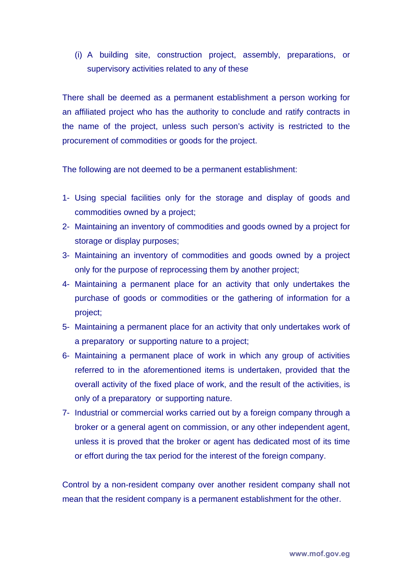(i) A building site, construction project, assembly, preparations, or supervisory activities related to any of these

There shall be deemed as a permanent establishment a person working for an affiliated project who has the authority to conclude and ratify contracts in the name of the project, unless such person's activity is restricted to the procurement of commodities or goods for the project.

The following are not deemed to be a permanent establishment:

- 1- Using special facilities only for the storage and display of goods and commodities owned by a project;
- 2- Maintaining an inventory of commodities and goods owned by a project for storage or display purposes;
- 3- Maintaining an inventory of commodities and goods owned by a project only for the purpose of reprocessing them by another project;
- 4- Maintaining a permanent place for an activity that only undertakes the purchase of goods or commodities or the gathering of information for a project;
- 5- Maintaining a permanent place for an activity that only undertakes work of a preparatory or supporting nature to a project;
- 6- Maintaining a permanent place of work in which any group of activities referred to in the aforementioned items is undertaken, provided that the overall activity of the fixed place of work, and the result of the activities, is only of a preparatory or supporting nature.
- 7- Industrial or commercial works carried out by a foreign company through a broker or a general agent on commission, or any other independent agent, unless it is proved that the broker or agent has dedicated most of its time or effort during the tax period for the interest of the foreign company.

Control by a non-resident company over another resident company shall not mean that the resident company is a permanent establishment for the other.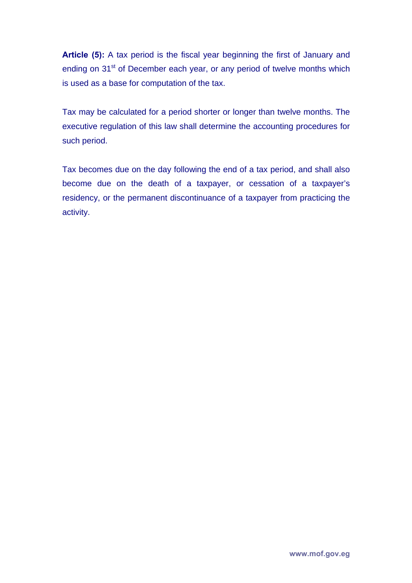**Article (5):** A tax period is the fiscal year beginning the first of January and ending on 31<sup>st</sup> of December each year, or any period of twelve months which is used as a base for computation of the tax.

Tax may be calculated for a period shorter or longer than twelve months. The executive regulation of this law shall determine the accounting procedures for such period.

Tax becomes due on the day following the end of a tax period, and shall also become due on the death of a taxpayer, or cessation of a taxpayer's residency, or the permanent discontinuance of a taxpayer from practicing the activity.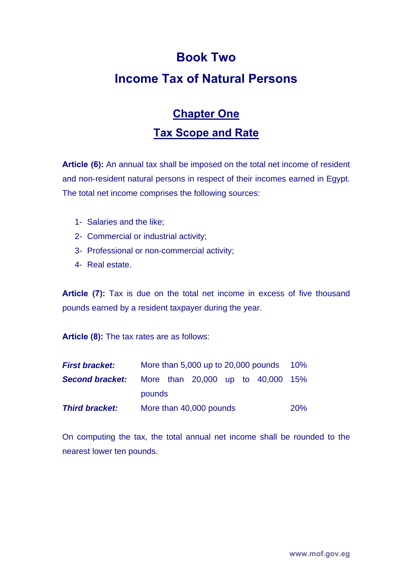# **Book Two Income Tax of Natural Persons**

# **Chapter One Tax Scope and Rate**

**Article (6):** An annual tax shall be imposed on the total net income of resident and non-resident natural persons in respect of their incomes earned in Egypt. The total net income comprises the following sources:

- 1- Salaries and the like;
- 2- Commercial or industrial activity;
- 3- Professional or non-commercial activity;
- 4- Real estate.

**Article (7):** Tax is due on the total net income in excess of five thousand pounds earned by a resident taxpayer during the year.

**Article (8):** The tax rates are as follows:

| <b>First bracket:</b>  | More than 5,000 up to 20,000 pounds |  |                                   |  |  |  | $10\%$     |
|------------------------|-------------------------------------|--|-----------------------------------|--|--|--|------------|
| <b>Second bracket:</b> |                                     |  | More than 20,000 up to 40,000 15% |  |  |  |            |
|                        | pounds                              |  |                                   |  |  |  |            |
| <b>Third bracket:</b>  | More than 40,000 pounds             |  |                                   |  |  |  | <b>20%</b> |

On computing the tax, the total annual net income shall be rounded to the nearest lower ten pounds.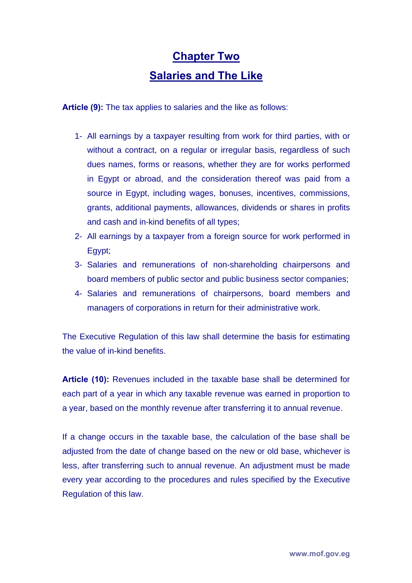# **Chapter Two Salaries and The Like**

**Article (9):** The tax applies to salaries and the like as follows:

- 1- All earnings by a taxpayer resulting from work for third parties, with or without a contract, on a regular or irregular basis, regardless of such dues names, forms or reasons, whether they are for works performed in Egypt or abroad, and the consideration thereof was paid from a source in Egypt, including wages, bonuses, incentives, commissions, grants, additional payments, allowances, dividends or shares in profits and cash and in-kind benefits of all types;
- 2- All earnings by a taxpayer from a foreign source for work performed in Egypt;
- 3- Salaries and remunerations of non-shareholding chairpersons and board members of public sector and public business sector companies;
- 4- Salaries and remunerations of chairpersons, board members and managers of corporations in return for their administrative work.

The Executive Regulation of this law shall determine the basis for estimating the value of in-kind benefits.

**Article (10):** Revenues included in the taxable base shall be determined for each part of a year in which any taxable revenue was earned in proportion to a year, based on the monthly revenue after transferring it to annual revenue.

If a change occurs in the taxable base, the calculation of the base shall be adjusted from the date of change based on the new or old base, whichever is less, after transferring such to annual revenue. An adjustment must be made every year according to the procedures and rules specified by the Executive Regulation of this law.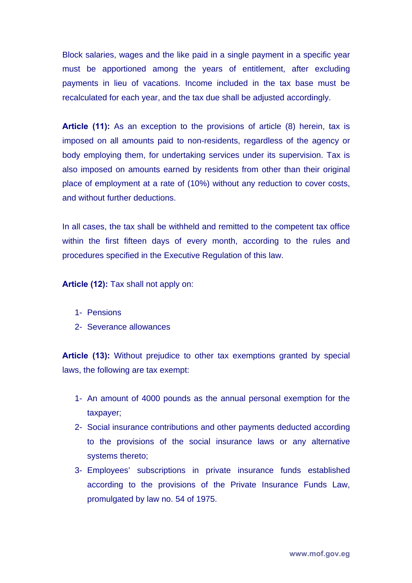Block salaries, wages and the like paid in a single payment in a specific year must be apportioned among the years of entitlement, after excluding payments in lieu of vacations. Income included in the tax base must be recalculated for each year, and the tax due shall be adjusted accordingly.

**Article (11):** As an exception to the provisions of article (8) herein, tax is imposed on all amounts paid to non-residents, regardless of the agency or body employing them, for undertaking services under its supervision. Tax is also imposed on amounts earned by residents from other than their original place of employment at a rate of (10%) without any reduction to cover costs, and without further deductions.

In all cases, the tax shall be withheld and remitted to the competent tax office within the first fifteen days of every month, according to the rules and procedures specified in the Executive Regulation of this law.

**Article (12):** Tax shall not apply on:

- 1- Pensions
- 2- Severance allowances

**Article (13):** Without prejudice to other tax exemptions granted by special laws, the following are tax exempt:

- 1- An amount of 4000 pounds as the annual personal exemption for the taxpayer;
- 2- Social insurance contributions and other payments deducted according to the provisions of the social insurance laws or any alternative systems thereto;
- 3- Employees' subscriptions in private insurance funds established according to the provisions of the Private Insurance Funds Law, promulgated by law no. 54 of 1975.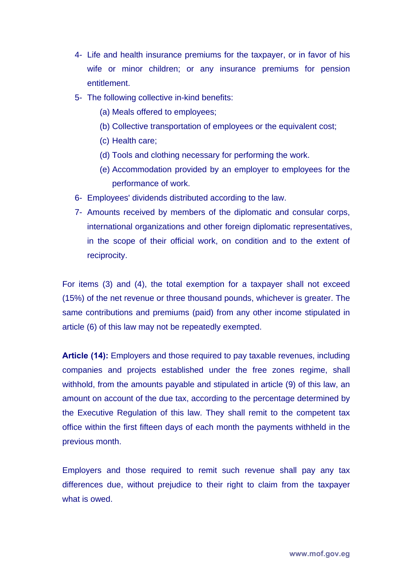- 4- Life and health insurance premiums for the taxpayer, or in favor of his wife or minor children; or any insurance premiums for pension entitlement.
- 5- The following collective in-kind benefits:
	- (a) Meals offered to employees;
	- (b) Collective transportation of employees or the equivalent cost;
	- (c) Health care;
	- (d) Tools and clothing necessary for performing the work.
	- (e) Accommodation provided by an employer to employees for the performance of work.
- 6- Employees' dividends distributed according to the law.
- 7- Amounts received by members of the diplomatic and consular corps, international organizations and other foreign diplomatic representatives, in the scope of their official work, on condition and to the extent of reciprocity.

For items (3) and (4), the total exemption for a taxpayer shall not exceed (15%) of the net revenue or three thousand pounds, whichever is greater. The same contributions and premiums (paid) from any other income stipulated in article (6) of this law may not be repeatedly exempted.

**Article (14):** Employers and those required to pay taxable revenues, including companies and projects established under the free zones regime, shall withhold, from the amounts payable and stipulated in article (9) of this law, an amount on account of the due tax, according to the percentage determined by the Executive Regulation of this law. They shall remit to the competent tax office within the first fifteen days of each month the payments withheld in the previous month.

Employers and those required to remit such revenue shall pay any tax differences due, without prejudice to their right to claim from the taxpayer what is owed.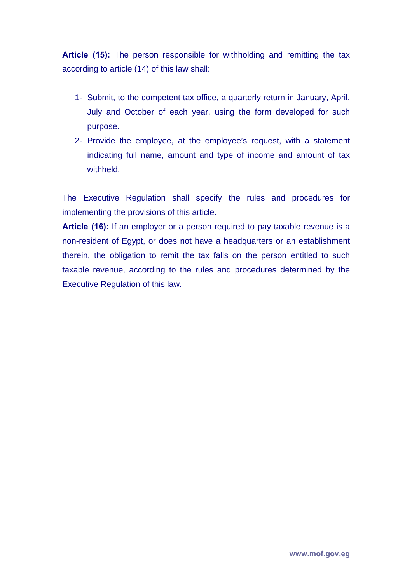**Article (15):** The person responsible for withholding and remitting the tax according to article (14) of this law shall:

- 1- Submit, to the competent tax office, a quarterly return in January, April, July and October of each year, using the form developed for such purpose.
- 2- Provide the employee, at the employee's request, with a statement indicating full name, amount and type of income and amount of tax withheld.

The Executive Regulation shall specify the rules and procedures for implementing the provisions of this article.

**Article (16):** If an employer or a person required to pay taxable revenue is a non-resident of Egypt, or does not have a headquarters or an establishment therein, the obligation to remit the tax falls on the person entitled to such taxable revenue, according to the rules and procedures determined by the Executive Regulation of this law.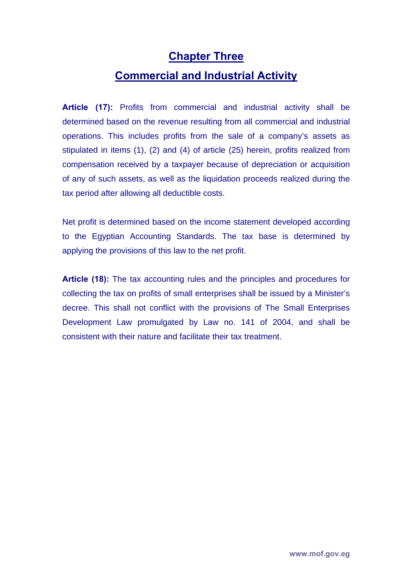#### **Chapter Three**

### **Commercial and Industrial Activity**

**Article (17):** Profits from commercial and industrial activity shall be determined based on the revenue resulting from all commercial and industrial operations. This includes profits from the sale of a company's assets as stipulated in items (1), (2) and (4) of article (25) herein, profits realized from compensation received by a taxpayer because of depreciation or acquisition of any of such assets, as well as the liquidation proceeds realized during the tax period after allowing all deductible costs.

Net profit is determined based on the income statement developed according to the Egyptian Accounting Standards. The tax base is determined by applying the provisions of this law to the net profit.

**Article (18):** The tax accounting rules and the principles and procedures for collecting the tax on profits of small enterprises shall be issued by a Minister's decree. This shall not conflict with the provisions of The Small Enterprises Development Law promulgated by Law no. 141 of 2004, and shall be consistent with their nature and facilitate their tax treatment.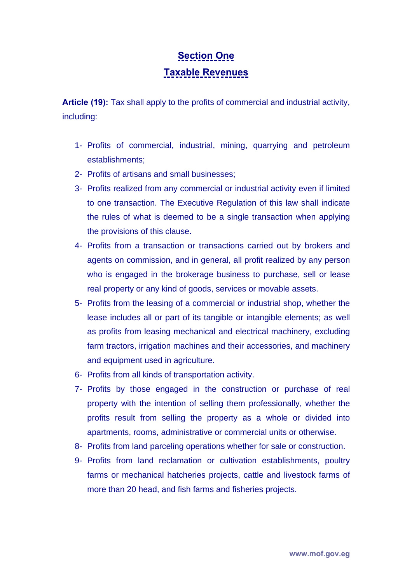# **Section One**

#### **Taxable Revenues**

**Article (19):** Tax shall apply to the profits of commercial and industrial activity, including:

- 1- Profits of commercial, industrial, mining, quarrying and petroleum establishments;
- 2- Profits of artisans and small businesses;
- 3- Profits realized from any commercial or industrial activity even if limited to one transaction. The Executive Regulation of this law shall indicate the rules of what is deemed to be a single transaction when applying the provisions of this clause.
- 4- Profits from a transaction or transactions carried out by brokers and agents on commission, and in general, all profit realized by any person who is engaged in the brokerage business to purchase, sell or lease real property or any kind of goods, services or movable assets.
- 5- Profits from the leasing of a commercial or industrial shop, whether the lease includes all or part of its tangible or intangible elements; as well as profits from leasing mechanical and electrical machinery, excluding farm tractors, irrigation machines and their accessories, and machinery and equipment used in agriculture.
- 6- Profits from all kinds of transportation activity.
- 7- Profits by those engaged in the construction or purchase of real property with the intention of selling them professionally, whether the profits result from selling the property as a whole or divided into apartments, rooms, administrative or commercial units or otherwise.
- 8- Profits from land parceling operations whether for sale or construction.
- 9- Profits from land reclamation or cultivation establishments, poultry farms or mechanical hatcheries projects, cattle and livestock farms of more than 20 head, and fish farms and fisheries projects.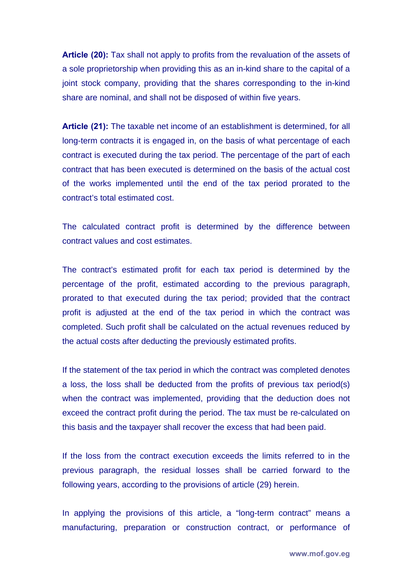**Article (20):** Tax shall not apply to profits from the revaluation of the assets of a sole proprietorship when providing this as an in-kind share to the capital of a joint stock company, providing that the shares corresponding to the in-kind share are nominal, and shall not be disposed of within five years.

**Article (21):** The taxable net income of an establishment is determined, for all long-term contracts it is engaged in, on the basis of what percentage of each contract is executed during the tax period. The percentage of the part of each contract that has been executed is determined on the basis of the actual cost of the works implemented until the end of the tax period prorated to the contract's total estimated cost.

The calculated contract profit is determined by the difference between contract values and cost estimates.

The contract's estimated profit for each tax period is determined by the percentage of the profit, estimated according to the previous paragraph, prorated to that executed during the tax period; provided that the contract profit is adjusted at the end of the tax period in which the contract was completed. Such profit shall be calculated on the actual revenues reduced by the actual costs after deducting the previously estimated profits.

If the statement of the tax period in which the contract was completed denotes a loss, the loss shall be deducted from the profits of previous tax period(s) when the contract was implemented, providing that the deduction does not exceed the contract profit during the period. The tax must be re-calculated on this basis and the taxpayer shall recover the excess that had been paid.

If the loss from the contract execution exceeds the limits referred to in the previous paragraph, the residual losses shall be carried forward to the following years, according to the provisions of article (29) herein.

In applying the provisions of this article, a "long-term contract" means a manufacturing, preparation or construction contract, or performance of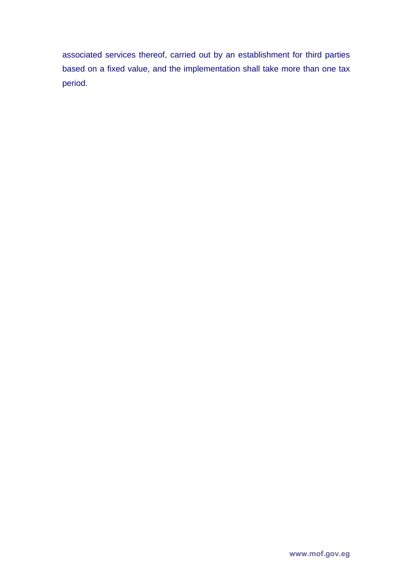associated services thereof, carried out by an establishment for third parties based on a fixed value, and the implementation shall take more than one tax period.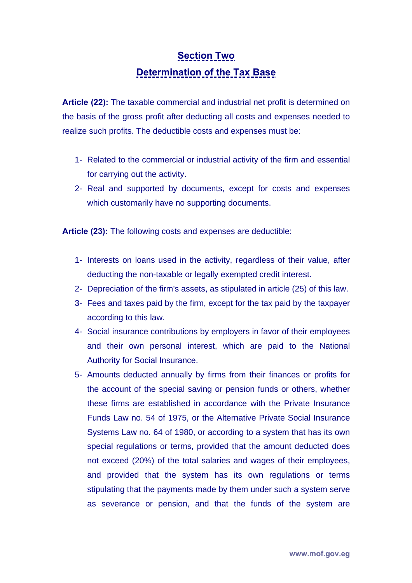### **Section Two**

#### **Determination of the Tax Base**

**Article (22):** The taxable commercial and industrial net profit is determined on the basis of the gross profit after deducting all costs and expenses needed to realize such profits. The deductible costs and expenses must be:

- 1- Related to the commercial or industrial activity of the firm and essential for carrying out the activity.
- 2- Real and supported by documents, except for costs and expenses which customarily have no supporting documents.

**Article (23):** The following costs and expenses are deductible:

- 1- Interests on loans used in the activity, regardless of their value, after deducting the non-taxable or legally exempted credit interest.
- 2- Depreciation of the firm's assets, as stipulated in article (25) of this law.
- 3- Fees and taxes paid by the firm, except for the tax paid by the taxpayer according to this law.
- 4- Social insurance contributions by employers in favor of their employees and their own personal interest, which are paid to the National Authority for Social Insurance.
- 5- Amounts deducted annually by firms from their finances or profits for the account of the special saving or pension funds or others, whether these firms are established in accordance with the Private Insurance Funds Law no. 54 of 1975, or the Alternative Private Social Insurance Systems Law no. 64 of 1980, or according to a system that has its own special regulations or terms, provided that the amount deducted does not exceed (20%) of the total salaries and wages of their employees, and provided that the system has its own regulations or terms stipulating that the payments made by them under such a system serve as severance or pension, and that the funds of the system are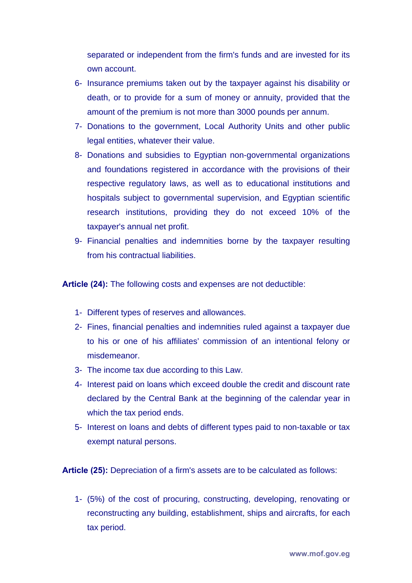separated or independent from the firm's funds and are invested for its own account.

- 6- Insurance premiums taken out by the taxpayer against his disability or death, or to provide for a sum of money or annuity, provided that the amount of the premium is not more than 3000 pounds per annum.
- 7- Donations to the government, Local Authority Units and other public legal entities, whatever their value.
- 8- Donations and subsidies to Egyptian non-governmental organizations and foundations registered in accordance with the provisions of their respective regulatory laws, as well as to educational institutions and hospitals subject to governmental supervision, and Egyptian scientific research institutions, providing they do not exceed 10% of the taxpayer's annual net profit.
- 9- Financial penalties and indemnities borne by the taxpayer resulting from his contractual liabilities.

**Article (24):** The following costs and expenses are not deductible:

- 1- Different types of reserves and allowances.
- 2- Fines, financial penalties and indemnities ruled against a taxpayer due to his or one of his affiliates' commission of an intentional felony or misdemeanor.
- 3- The income tax due according to this Law.
- 4- Interest paid on loans which exceed double the credit and discount rate declared by the Central Bank at the beginning of the calendar year in which the tax period ends.
- 5- Interest on loans and debts of different types paid to non-taxable or tax exempt natural persons.

**Article (25):** Depreciation of a firm's assets are to be calculated as follows:

1- (5%) of the cost of procuring, constructing, developing, renovating or reconstructing any building, establishment, ships and aircrafts, for each tax period.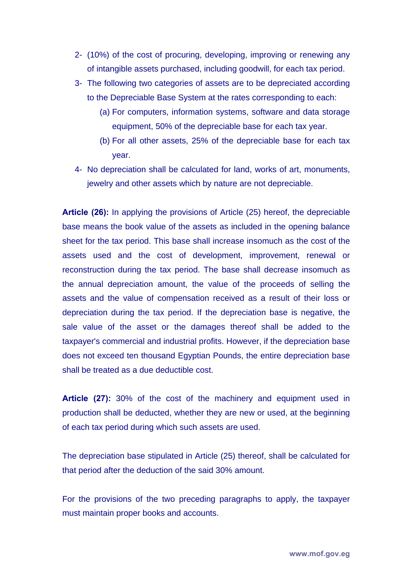- 2- (10%) of the cost of procuring, developing, improving or renewing any of intangible assets purchased, including goodwill, for each tax period.
- 3- The following two categories of assets are to be depreciated according to the Depreciable Base System at the rates corresponding to each:
	- (a) For computers, information systems, software and data storage equipment, 50% of the depreciable base for each tax year.
	- (b) For all other assets, 25% of the depreciable base for each tax year.
- 4- No depreciation shall be calculated for land, works of art, monuments, jewelry and other assets which by nature are not depreciable.

**Article (26):** In applying the provisions of Article (25) hereof, the depreciable base means the book value of the assets as included in the opening balance sheet for the tax period. This base shall increase insomuch as the cost of the assets used and the cost of development, improvement, renewal or reconstruction during the tax period. The base shall decrease insomuch as the annual depreciation amount, the value of the proceeds of selling the assets and the value of compensation received as a result of their loss or depreciation during the tax period. If the depreciation base is negative, the sale value of the asset or the damages thereof shall be added to the taxpayer's commercial and industrial profits. However, if the depreciation base does not exceed ten thousand Egyptian Pounds, the entire depreciation base shall be treated as a due deductible cost.

**Article (27):** 30% of the cost of the machinery and equipment used in production shall be deducted, whether they are new or used, at the beginning of each tax period during which such assets are used.

The depreciation base stipulated in Article (25) thereof, shall be calculated for that period after the deduction of the said 30% amount.

For the provisions of the two preceding paragraphs to apply, the taxpayer must maintain proper books and accounts.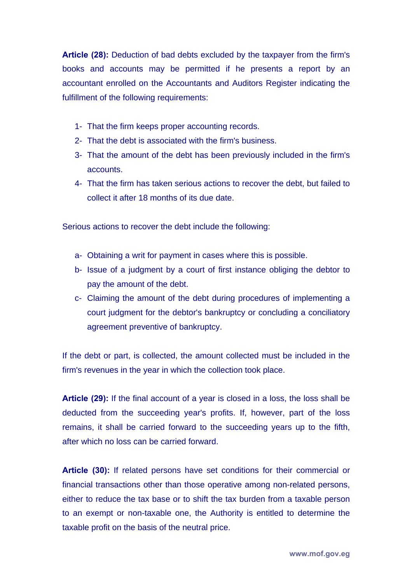**Article (28):** Deduction of bad debts excluded by the taxpayer from the firm's books and accounts may be permitted if he presents a report by an accountant enrolled on the Accountants and Auditors Register indicating the fulfillment of the following requirements:

- 1- That the firm keeps proper accounting records.
- 2- That the debt is associated with the firm's business.
- 3- That the amount of the debt has been previously included in the firm's accounts.
- 4- That the firm has taken serious actions to recover the debt, but failed to collect it after 18 months of its due date.

Serious actions to recover the debt include the following:

- a- Obtaining a writ for payment in cases where this is possible.
- b- Issue of a judgment by a court of first instance obliging the debtor to pay the amount of the debt.
- c- Claiming the amount of the debt during procedures of implementing a court judgment for the debtor's bankruptcy or concluding a conciliatory agreement preventive of bankruptcy.

If the debt or part, is collected, the amount collected must be included in the firm's revenues in the year in which the collection took place.

**Article (29):** If the final account of a year is closed in a loss, the loss shall be deducted from the succeeding year's profits. If, however, part of the loss remains, it shall be carried forward to the succeeding years up to the fifth, after which no loss can be carried forward.

**Article (30):** If related persons have set conditions for their commercial or financial transactions other than those operative among non-related persons, either to reduce the tax base or to shift the tax burden from a taxable person to an exempt or non-taxable one, the Authority is entitled to determine the taxable profit on the basis of the neutral price.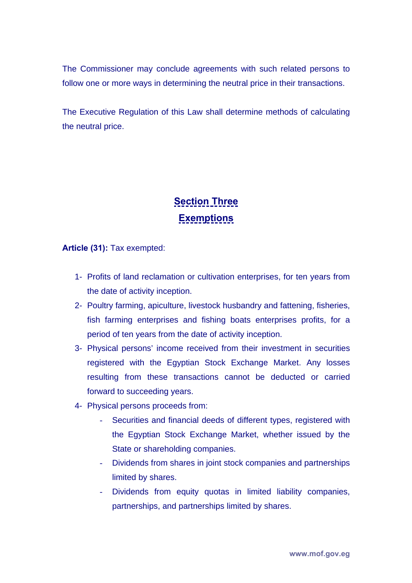The Commissioner may conclude agreements with such related persons to follow one or more ways in determining the neutral price in their transactions.

The Executive Regulation of this Law shall determine methods of calculating the neutral price.

# **Section Three Exemptions**

**Article (31):** Tax exempted:

- 1- Profits of land reclamation or cultivation enterprises, for ten years from the date of activity inception.
- 2- Poultry farming, apiculture, livestock husbandry and fattening, fisheries, fish farming enterprises and fishing boats enterprises profits, for a period of ten years from the date of activity inception.
- 3- Physical persons' income received from their investment in securities registered with the Egyptian Stock Exchange Market. Any losses resulting from these transactions cannot be deducted or carried forward to succeeding years.
- 4- Physical persons proceeds from:
	- Securities and financial deeds of different types, registered with the Egyptian Stock Exchange Market, whether issued by the State or shareholding companies.
	- Dividends from shares in joint stock companies and partnerships limited by shares.
	- Dividends from equity quotas in limited liability companies, partnerships, and partnerships limited by shares.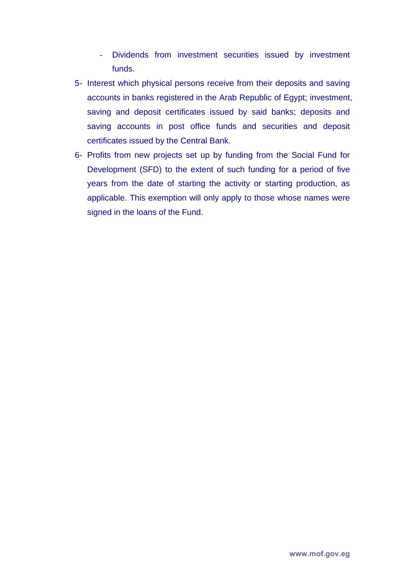- Dividends from investment securities issued by investment funds.
- 5- Interest which physical persons receive from their deposits and saving accounts in banks registered in the Arab Republic of Egypt; investment, saving and deposit certificates issued by said banks; deposits and saving accounts in post office funds and securities and deposit certificates issued by the Central Bank.
- 6- Profits from new projects set up by funding from the Social Fund for Development (SFD) to the extent of such funding for a period of five years from the date of starting the activity or starting production, as applicable. This exemption will only apply to those whose names were signed in the loans of the Fund.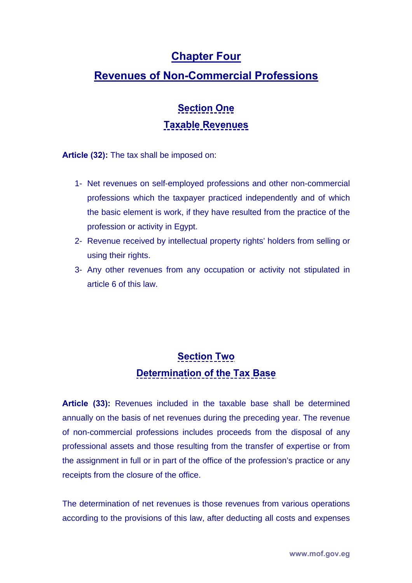### **Chapter Four**

### **Revenues of Non-Commercial Professions**

# **Section One Taxable Revenues**

**Article (32):** The tax shall be imposed on:

- 1- Net revenues on self-employed professions and other non-commercial professions which the taxpayer practiced independently and of which the basic element is work, if they have resulted from the practice of the profession or activity in Egypt.
- 2- Revenue received by intellectual property rights' holders from selling or using their rights.
- 3- Any other revenues from any occupation or activity not stipulated in article 6 of this law.

### **Section Two Determination of the Tax Base**

**Article (33):** Revenues included in the taxable base shall be determined annually on the basis of net revenues during the preceding year. The revenue of non-commercial professions includes proceeds from the disposal of any professional assets and those resulting from the transfer of expertise or from the assignment in full or in part of the office of the profession's practice or any receipts from the closure of the office.

The determination of net revenues is those revenues from various operations according to the provisions of this law, after deducting all costs and expenses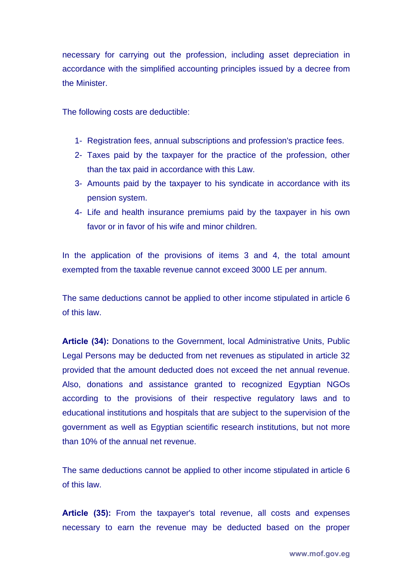necessary for carrying out the profession, including asset depreciation in accordance with the simplified accounting principles issued by a decree from the Minister.

The following costs are deductible:

- 1- Registration fees, annual subscriptions and profession's practice fees.
- 2- Taxes paid by the taxpayer for the practice of the profession, other than the tax paid in accordance with this Law.
- 3- Amounts paid by the taxpayer to his syndicate in accordance with its pension system.
- 4- Life and health insurance premiums paid by the taxpayer in his own favor or in favor of his wife and minor children.

In the application of the provisions of items 3 and 4, the total amount exempted from the taxable revenue cannot exceed 3000 LE per annum.

The same deductions cannot be applied to other income stipulated in article 6 of this law.

**Article (34):** Donations to the Government, local Administrative Units, Public Legal Persons may be deducted from net revenues as stipulated in article 32 provided that the amount deducted does not exceed the net annual revenue. Also, donations and assistance granted to recognized Egyptian NGOs according to the provisions of their respective regulatory laws and to educational institutions and hospitals that are subject to the supervision of the government as well as Egyptian scientific research institutions, but not more than 10% of the annual net revenue.

The same deductions cannot be applied to other income stipulated in article 6 of this law.

**Article (35):** From the taxpayer's total revenue, all costs and expenses necessary to earn the revenue may be deducted based on the proper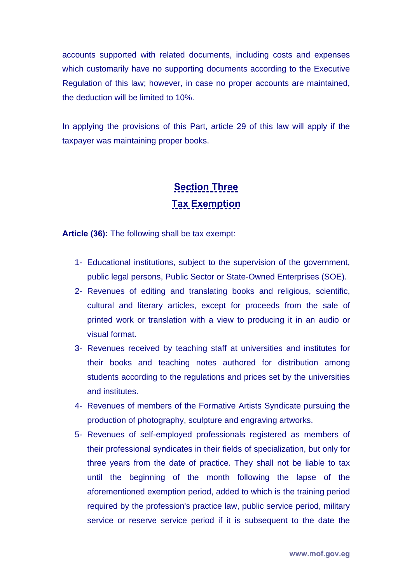accounts supported with related documents, including costs and expenses which customarily have no supporting documents according to the Executive Regulation of this law; however, in case no proper accounts are maintained, the deduction will be limited to 10%.

In applying the provisions of this Part, article 29 of this law will apply if the taxpayer was maintaining proper books.

# **Section Three Tax Exemption**

**Article (36):** The following shall be tax exempt:

- 1- Educational institutions, subject to the supervision of the government, public legal persons, Public Sector or State-Owned Enterprises (SOE).
- 2- Revenues of editing and translating books and religious, scientific, cultural and literary articles, except for proceeds from the sale of printed work or translation with a view to producing it in an audio or visual format.
- 3- Revenues received by teaching staff at universities and institutes for their books and teaching notes authored for distribution among students according to the regulations and prices set by the universities and institutes.
- 4- Revenues of members of the Formative Artists Syndicate pursuing the production of photography, sculpture and engraving artworks.
- 5- Revenues of self-employed professionals registered as members of their professional syndicates in their fields of specialization, but only for three years from the date of practice. They shall not be liable to tax until the beginning of the month following the lapse of the aforementioned exemption period, added to which is the training period required by the profession's practice law, public service period, military service or reserve service period if it is subsequent to the date the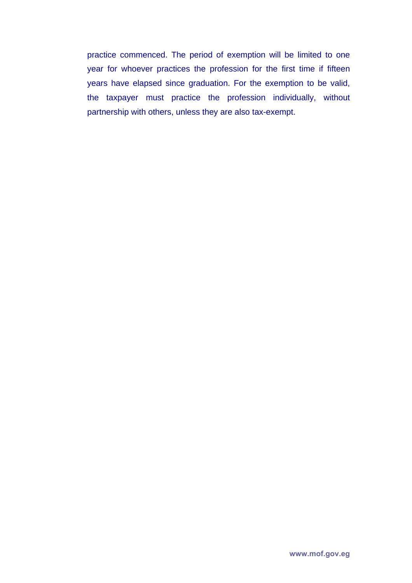practice commenced. The period of exemption will be limited to one year for whoever practices the profession for the first time if fifteen years have elapsed since graduation. For the exemption to be valid, the taxpayer must practice the profession individually, without partnership with others, unless they are also tax-exempt.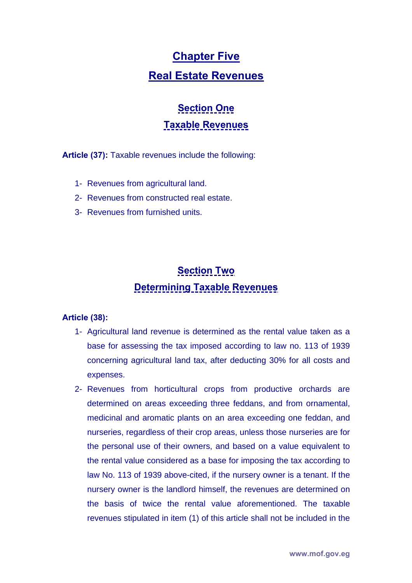#### **Chapter Five**

#### **Real Estate Revenues**

# **Section One Taxable Revenues**

**Article (37):** Taxable revenues include the following:

- 1- Revenues from agricultural land.
- 2- Revenues from constructed real estate.
- 3- Revenues from furnished units.

# **Section Two Determining Taxable Revenues**

#### **Article (38):**

- 1- Agricultural land revenue is determined as the rental value taken as a base for assessing the tax imposed according to law no. 113 of 1939 concerning agricultural land tax, after deducting 30% for all costs and expenses.
- 2- Revenues from horticultural crops from productive orchards are determined on areas exceeding three feddans, and from ornamental, medicinal and aromatic plants on an area exceeding one feddan, and nurseries, regardless of their crop areas, unless those nurseries are for the personal use of their owners, and based on a value equivalent to the rental value considered as a base for imposing the tax according to law No. 113 of 1939 above-cited, if the nursery owner is a tenant. If the nursery owner is the landlord himself, the revenues are determined on the basis of twice the rental value aforementioned. The taxable revenues stipulated in item (1) of this article shall not be included in the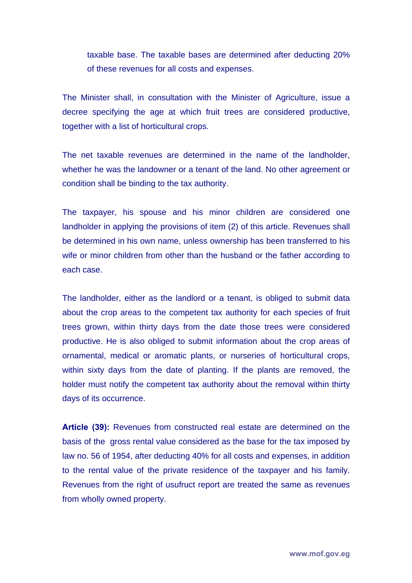taxable base. The taxable bases are determined after deducting 20% of these revenues for all costs and expenses.

The Minister shall, in consultation with the Minister of Agriculture, issue a decree specifying the age at which fruit trees are considered productive, together with a list of horticultural crops.

The net taxable revenues are determined in the name of the landholder, whether he was the landowner or a tenant of the land. No other agreement or condition shall be binding to the tax authority.

The taxpayer, his spouse and his minor children are considered one landholder in applying the provisions of item (2) of this article. Revenues shall be determined in his own name, unless ownership has been transferred to his wife or minor children from other than the husband or the father according to each case.

The landholder, either as the landlord or a tenant, is obliged to submit data about the crop areas to the competent tax authority for each species of fruit trees grown, within thirty days from the date those trees were considered productive. He is also obliged to submit information about the crop areas of ornamental, medical or aromatic plants, or nurseries of horticultural crops, within sixty days from the date of planting. If the plants are removed, the holder must notify the competent tax authority about the removal within thirty days of its occurrence.

**Article (39):** Revenues from constructed real estate are determined on the basis of the gross rental value considered as the base for the tax imposed by law no. 56 of 1954, after deducting 40% for all costs and expenses, in addition to the rental value of the private residence of the taxpayer and his family. Revenues from the right of usufruct report are treated the same as revenues from wholly owned property.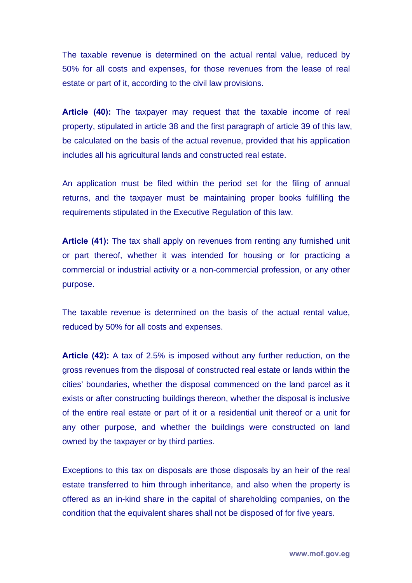The taxable revenue is determined on the actual rental value, reduced by 50% for all costs and expenses, for those revenues from the lease of real estate or part of it, according to the civil law provisions.

**Article (40):** The taxpayer may request that the taxable income of real property, stipulated in article 38 and the first paragraph of article 39 of this law, be calculated on the basis of the actual revenue, provided that his application includes all his agricultural lands and constructed real estate.

An application must be filed within the period set for the filing of annual returns, and the taxpayer must be maintaining proper books fulfilling the requirements stipulated in the Executive Regulation of this law.

**Article (41):** The tax shall apply on revenues from renting any furnished unit or part thereof, whether it was intended for housing or for practicing a commercial or industrial activity or a non-commercial profession, or any other purpose.

The taxable revenue is determined on the basis of the actual rental value, reduced by 50% for all costs and expenses.

**Article (42):** A tax of 2.5% is imposed without any further reduction, on the gross revenues from the disposal of constructed real estate or lands within the cities' boundaries, whether the disposal commenced on the land parcel as it exists or after constructing buildings thereon, whether the disposal is inclusive of the entire real estate or part of it or a residential unit thereof or a unit for any other purpose, and whether the buildings were constructed on land owned by the taxpayer or by third parties.

Exceptions to this tax on disposals are those disposals by an heir of the real estate transferred to him through inheritance, and also when the property is offered as an in-kind share in the capital of shareholding companies, on the condition that the equivalent shares shall not be disposed of for five years.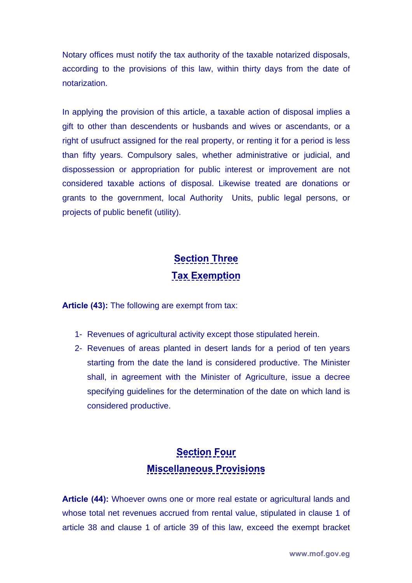Notary offices must notify the tax authority of the taxable notarized disposals, according to the provisions of this law, within thirty days from the date of notarization.

In applying the provision of this article, a taxable action of disposal implies a gift to other than descendents or husbands and wives or ascendants, or a right of usufruct assigned for the real property, or renting it for a period is less than fifty years. Compulsory sales, whether administrative or judicial, and dispossession or appropriation for public interest or improvement are not considered taxable actions of disposal. Likewise treated are donations or grants to the government, local Authority Units, public legal persons, or projects of public benefit (utility).

# **Section Three Tax Exemption**

**Article (43):** The following are exempt from tax:

- 1- Revenues of agricultural activity except those stipulated herein.
- 2- Revenues of areas planted in desert lands for a period of ten years starting from the date the land is considered productive. The Minister shall, in agreement with the Minister of Agriculture, issue a decree specifying guidelines for the determination of the date on which land is considered productive.

## **Section Four Miscellaneous Provisions**

**Article (44):** Whoever owns one or more real estate or agricultural lands and whose total net revenues accrued from rental value, stipulated in clause 1 of article 38 and clause 1 of article 39 of this law, exceed the exempt bracket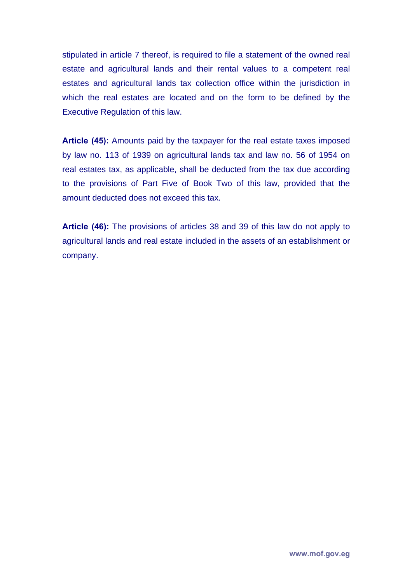stipulated in article 7 thereof, is required to file a statement of the owned real estate and agricultural lands and their rental values to a competent real estates and agricultural lands tax collection office within the jurisdiction in which the real estates are located and on the form to be defined by the Executive Regulation of this law.

**Article (45):** Amounts paid by the taxpayer for the real estate taxes imposed by law no. 113 of 1939 on agricultural lands tax and law no. 56 of 1954 on real estates tax, as applicable, shall be deducted from the tax due according to the provisions of Part Five of Book Two of this law, provided that the amount deducted does not exceed this tax.

**Article (46):** The provisions of articles 38 and 39 of this law do not apply to agricultural lands and real estate included in the assets of an establishment or company.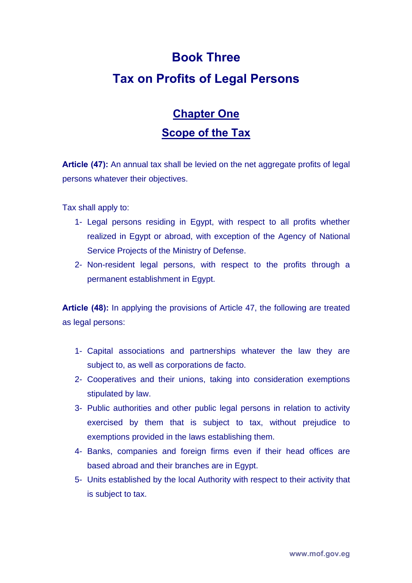# **Book Three Tax on Profits of Legal Persons**

# **Chapter One Scope of the Tax**

**Article (47):** An annual tax shall be levied on the net aggregate profits of legal persons whatever their objectives.

Tax shall apply to:

- 1- Legal persons residing in Egypt, with respect to all profits whether realized in Egypt or abroad, with exception of the Agency of National Service Projects of the Ministry of Defense.
- 2- Non-resident legal persons, with respect to the profits through a permanent establishment in Egypt.

**Article (48):** In applying the provisions of Article 47, the following are treated as legal persons:

- 1- Capital associations and partnerships whatever the law they are subject to, as well as corporations de facto.
- 2- Cooperatives and their unions, taking into consideration exemptions stipulated by law.
- 3- Public authorities and other public legal persons in relation to activity exercised by them that is subject to tax, without prejudice to exemptions provided in the laws establishing them.
- 4- Banks, companies and foreign firms even if their head offices are based abroad and their branches are in Egypt.
- 5- Units established by the local Authority with respect to their activity that is subject to tax.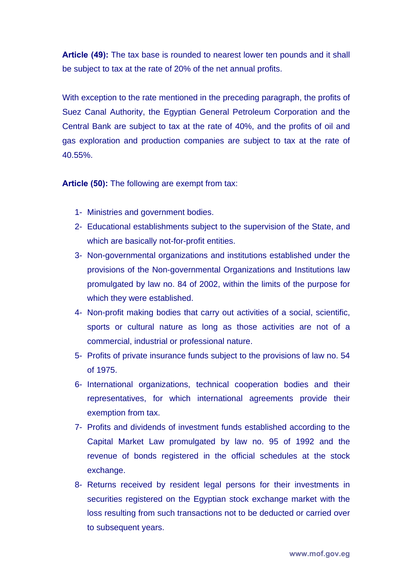**Article (49):** The tax base is rounded to nearest lower ten pounds and it shall be subject to tax at the rate of 20% of the net annual profits.

With exception to the rate mentioned in the preceding paragraph, the profits of Suez Canal Authority, the Egyptian General Petroleum Corporation and the Central Bank are subject to tax at the rate of 40%, and the profits of oil and gas exploration and production companies are subject to tax at the rate of 40.55%.

**Article (50):** The following are exempt from tax:

- 1- Ministries and government bodies.
- 2- Educational establishments subject to the supervision of the State, and which are basically not-for-profit entities.
- 3- Non-governmental organizations and institutions established under the provisions of the Non-governmental Organizations and Institutions law promulgated by law no. 84 of 2002, within the limits of the purpose for which they were established.
- 4- Non-profit making bodies that carry out activities of a social, scientific, sports or cultural nature as long as those activities are not of a commercial, industrial or professional nature.
- 5- Profits of private insurance funds subject to the provisions of law no. 54 of 1975.
- 6- International organizations, technical cooperation bodies and their representatives, for which international agreements provide their exemption from tax.
- 7- Profits and dividends of investment funds established according to the Capital Market Law promulgated by law no. 95 of 1992 and the revenue of bonds registered in the official schedules at the stock exchange.
- 8- Returns received by resident legal persons for their investments in securities registered on the Egyptian stock exchange market with the loss resulting from such transactions not to be deducted or carried over to subsequent years.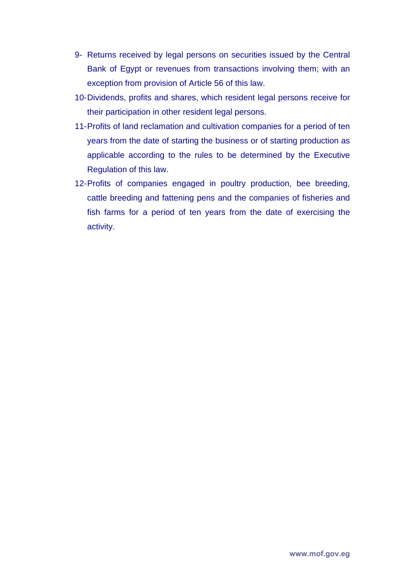- 9- Returns received by legal persons on securities issued by the Central Bank of Egypt or revenues from transactions involving them; with an exception from provision of Article 56 of this law.
- 10- Dividends, profits and shares, which resident legal persons receive for their participation in other resident legal persons.
- 11- Profits of land reclamation and cultivation companies for a period of ten years from the date of starting the business or of starting production as applicable according to the rules to be determined by the Executive Regulation of this law.
- 12- Profits of companies engaged in poultry production, bee breeding, cattle breeding and fattening pens and the companies of fisheries and fish farms for a period of ten years from the date of exercising the activity.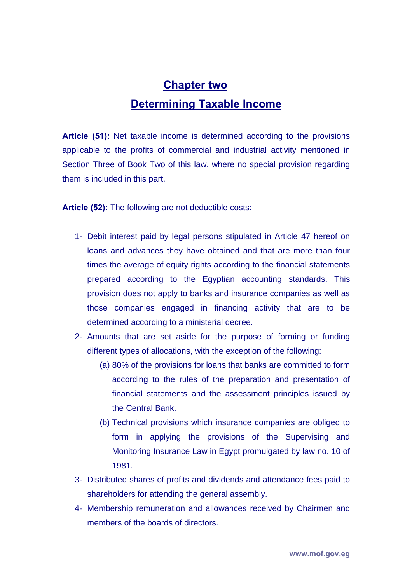## **Chapter two Determining Taxable Income**

**Article (51):** Net taxable income is determined according to the provisions applicable to the profits of commercial and industrial activity mentioned in Section Three of Book Two of this law, where no special provision regarding them is included in this part.

**Article (52):** The following are not deductible costs:

- 1- Debit interest paid by legal persons stipulated in Article 47 hereof on loans and advances they have obtained and that are more than four times the average of equity rights according to the financial statements prepared according to the Egyptian accounting standards. This provision does not apply to banks and insurance companies as well as those companies engaged in financing activity that are to be determined according to a ministerial decree.
- 2- Amounts that are set aside for the purpose of forming or funding different types of allocations, with the exception of the following:
	- (a) 80% of the provisions for loans that banks are committed to form according to the rules of the preparation and presentation of financial statements and the assessment principles issued by the Central Bank.
	- (b) Technical provisions which insurance companies are obliged to form in applying the provisions of the Supervising and Monitoring Insurance Law in Egypt promulgated by law no. 10 of 1981.
- 3- Distributed shares of profits and dividends and attendance fees paid to shareholders for attending the general assembly.
- 4- Membership remuneration and allowances received by Chairmen and members of the boards of directors.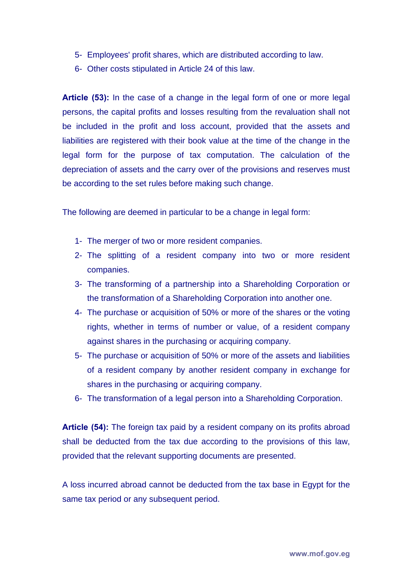- 5- Employees' profit shares, which are distributed according to law.
- 6- Other costs stipulated in Article 24 of this law.

**Article (53):** In the case of a change in the legal form of one or more legal persons, the capital profits and losses resulting from the revaluation shall not be included in the profit and loss account, provided that the assets and liabilities are registered with their book value at the time of the change in the legal form for the purpose of tax computation. The calculation of the depreciation of assets and the carry over of the provisions and reserves must be according to the set rules before making such change.

The following are deemed in particular to be a change in legal form:

- 1- The merger of two or more resident companies.
- 2- The splitting of a resident company into two or more resident companies.
- 3- The transforming of a partnership into a Shareholding Corporation or the transformation of a Shareholding Corporation into another one.
- 4- The purchase or acquisition of 50% or more of the shares or the voting rights, whether in terms of number or value, of a resident company against shares in the purchasing or acquiring company.
- 5- The purchase or acquisition of 50% or more of the assets and liabilities of a resident company by another resident company in exchange for shares in the purchasing or acquiring company.
- 6- The transformation of a legal person into a Shareholding Corporation.

**Article (54):** The foreign tax paid by a resident company on its profits abroad shall be deducted from the tax due according to the provisions of this law, provided that the relevant supporting documents are presented.

A loss incurred abroad cannot be deducted from the tax base in Egypt for the same tax period or any subsequent period.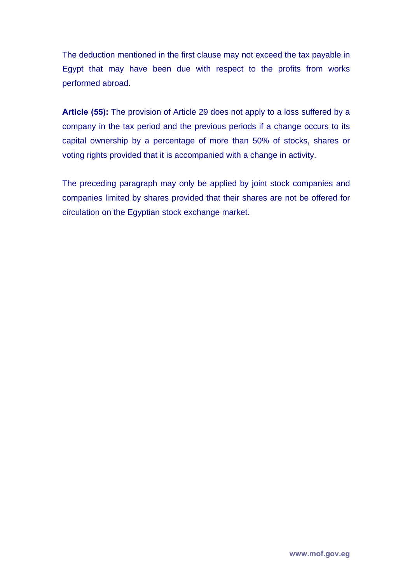The deduction mentioned in the first clause may not exceed the tax payable in Egypt that may have been due with respect to the profits from works performed abroad.

**Article (55):** The provision of Article 29 does not apply to a loss suffered by a company in the tax period and the previous periods if a change occurs to its capital ownership by a percentage of more than 50% of stocks, shares or voting rights provided that it is accompanied with a change in activity.

The preceding paragraph may only be applied by joint stock companies and companies limited by shares provided that their shares are not be offered for circulation on the Egyptian stock exchange market.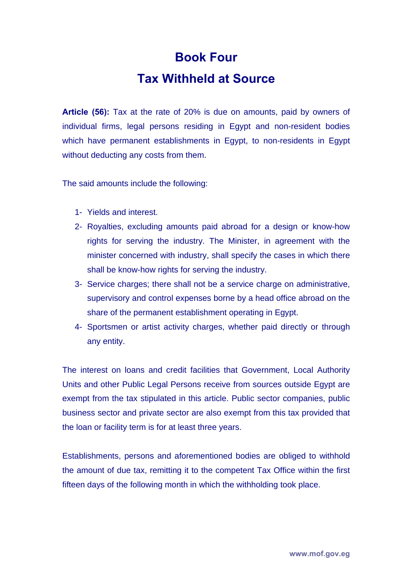# **Book Four Tax Withheld at Source**

**Article (56):** Tax at the rate of 20% is due on amounts, paid by owners of individual firms, legal persons residing in Egypt and non-resident bodies which have permanent establishments in Egypt, to non-residents in Egypt without deducting any costs from them.

The said amounts include the following:

- 1- Yields and interest.
- 2- Royalties, excluding amounts paid abroad for a design or know-how rights for serving the industry. The Minister, in agreement with the minister concerned with industry, shall specify the cases in which there shall be know-how rights for serving the industry.
- 3- Service charges; there shall not be a service charge on administrative, supervisory and control expenses borne by a head office abroad on the share of the permanent establishment operating in Egypt.
- 4- Sportsmen or artist activity charges, whether paid directly or through any entity.

The interest on loans and credit facilities that Government, Local Authority Units and other Public Legal Persons receive from sources outside Egypt are exempt from the tax stipulated in this article. Public sector companies, public business sector and private sector are also exempt from this tax provided that the loan or facility term is for at least three years.

Establishments, persons and aforementioned bodies are obliged to withhold the amount of due tax, remitting it to the competent Tax Office within the first fifteen days of the following month in which the withholding took place.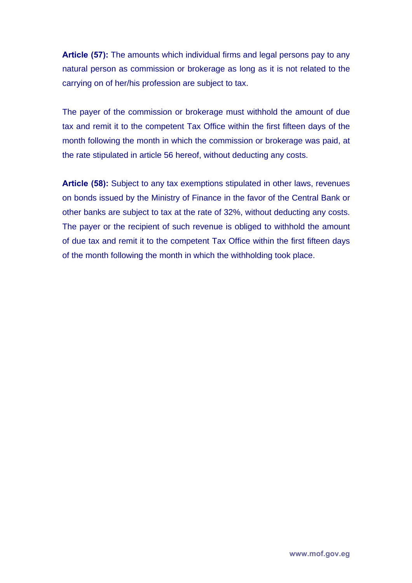**Article (57):** The amounts which individual firms and legal persons pay to any natural person as commission or brokerage as long as it is not related to the carrying on of her/his profession are subject to tax.

The payer of the commission or brokerage must withhold the amount of due tax and remit it to the competent Tax Office within the first fifteen days of the month following the month in which the commission or brokerage was paid, at the rate stipulated in article 56 hereof, without deducting any costs.

**Article (58):** Subject to any tax exemptions stipulated in other laws, revenues on bonds issued by the Ministry of Finance in the favor of the Central Bank or other banks are subject to tax at the rate of 32%, without deducting any costs. The payer or the recipient of such revenue is obliged to withhold the amount of due tax and remit it to the competent Tax Office within the first fifteen days of the month following the month in which the withholding took place.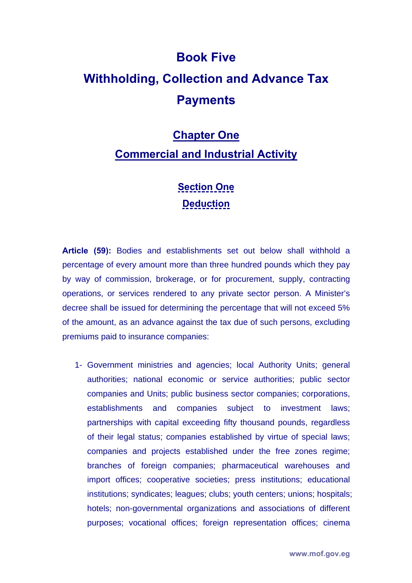# **Book Five Withholding, Collection and Advance Tax Payments**

#### **Chapter One**

#### **Commercial and Industrial Activity**

#### **Section One Deduction**

**Article (59):** Bodies and establishments set out below shall withhold a percentage of every amount more than three hundred pounds which they pay by way of commission, brokerage, or for procurement, supply, contracting operations, or services rendered to any private sector person. A Minister's decree shall be issued for determining the percentage that will not exceed 5% of the amount, as an advance against the tax due of such persons, excluding premiums paid to insurance companies:

1- Government ministries and agencies; local Authority Units; general authorities; national economic or service authorities; public sector companies and Units; public business sector companies; corporations, establishments and companies subject to investment laws; partnerships with capital exceeding fifty thousand pounds, regardless of their legal status; companies established by virtue of special laws; companies and projects established under the free zones regime; branches of foreign companies; pharmaceutical warehouses and import offices; cooperative societies; press institutions; educational institutions; syndicates; leagues; clubs; youth centers; unions; hospitals; hotels; non-governmental organizations and associations of different purposes; vocational offices; foreign representation offices; cinema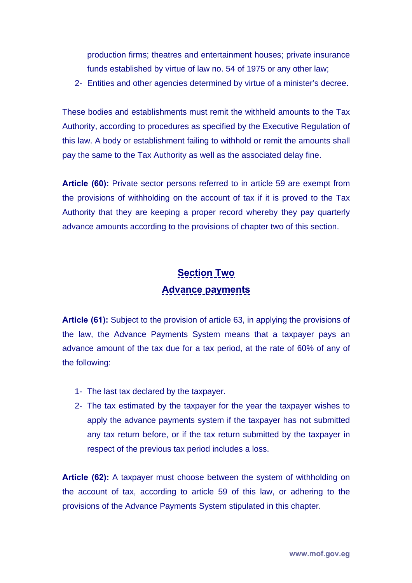production firms; theatres and entertainment houses; private insurance funds established by virtue of law no. 54 of 1975 or any other law;

2- Entities and other agencies determined by virtue of a minister's decree.

These bodies and establishments must remit the withheld amounts to the Tax Authority, according to procedures as specified by the Executive Regulation of this law. A body or establishment failing to withhold or remit the amounts shall pay the same to the Tax Authority as well as the associated delay fine.

**Article (60):** Private sector persons referred to in article 59 are exempt from the provisions of withholding on the account of tax if it is proved to the Tax Authority that they are keeping a proper record whereby they pay quarterly advance amounts according to the provisions of chapter two of this section.

#### **Section Two Advance payments**

**Article (61):** Subject to the provision of article 63, in applying the provisions of the law, the Advance Payments System means that a taxpayer pays an advance amount of the tax due for a tax period, at the rate of 60% of any of the following:

- 1- The last tax declared by the taxpayer.
- 2- The tax estimated by the taxpayer for the year the taxpayer wishes to apply the advance payments system if the taxpayer has not submitted any tax return before, or if the tax return submitted by the taxpayer in respect of the previous tax period includes a loss.

**Article (62):** A taxpayer must choose between the system of withholding on the account of tax, according to article 59 of this law, or adhering to the provisions of the Advance Payments System stipulated in this chapter.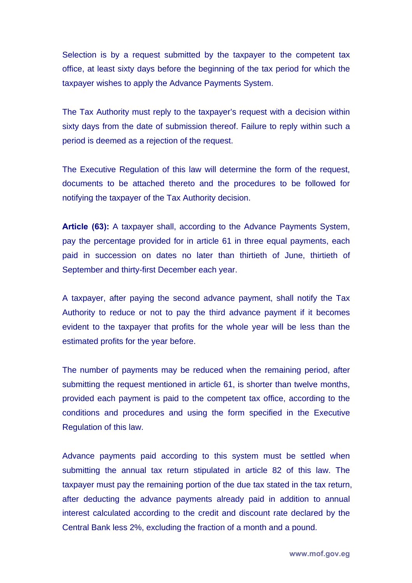Selection is by a request submitted by the taxpayer to the competent tax office, at least sixty days before the beginning of the tax period for which the taxpayer wishes to apply the Advance Payments System.

The Tax Authority must reply to the taxpayer's request with a decision within sixty days from the date of submission thereof. Failure to reply within such a period is deemed as a rejection of the request.

The Executive Regulation of this law will determine the form of the request, documents to be attached thereto and the procedures to be followed for notifying the taxpayer of the Tax Authority decision.

**Article (63):** A taxpayer shall, according to the Advance Payments System, pay the percentage provided for in article 61 in three equal payments, each paid in succession on dates no later than thirtieth of June, thirtieth of September and thirty-first December each year.

A taxpayer, after paying the second advance payment, shall notify the Tax Authority to reduce or not to pay the third advance payment if it becomes evident to the taxpayer that profits for the whole year will be less than the estimated profits for the year before.

The number of payments may be reduced when the remaining period, after submitting the request mentioned in article 61, is shorter than twelve months, provided each payment is paid to the competent tax office, according to the conditions and procedures and using the form specified in the Executive Regulation of this law.

Advance payments paid according to this system must be settled when submitting the annual tax return stipulated in article 82 of this law. The taxpayer must pay the remaining portion of the due tax stated in the tax return, after deducting the advance payments already paid in addition to annual interest calculated according to the credit and discount rate declared by the Central Bank less 2%, excluding the fraction of a month and a pound.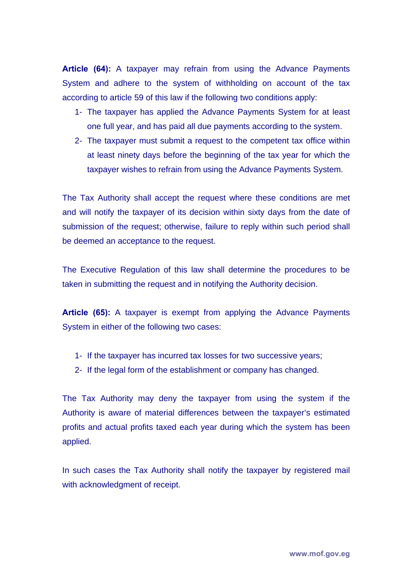**Article (64):** A taxpayer may refrain from using the Advance Payments System and adhere to the system of withholding on account of the tax according to article 59 of this law if the following two conditions apply:

- 1- The taxpayer has applied the Advance Payments System for at least one full year, and has paid all due payments according to the system.
- 2- The taxpayer must submit a request to the competent tax office within at least ninety days before the beginning of the tax year for which the taxpayer wishes to refrain from using the Advance Payments System.

The Tax Authority shall accept the request where these conditions are met and will notify the taxpayer of its decision within sixty days from the date of submission of the request; otherwise, failure to reply within such period shall be deemed an acceptance to the request.

The Executive Regulation of this law shall determine the procedures to be taken in submitting the request and in notifying the Authority decision.

**Article (65):** A taxpayer is exempt from applying the Advance Payments System in either of the following two cases:

- 1- If the taxpayer has incurred tax losses for two successive years;
- 2- If the legal form of the establishment or company has changed.

The Tax Authority may deny the taxpayer from using the system if the Authority is aware of material differences between the taxpayer's estimated profits and actual profits taxed each year during which the system has been applied.

In such cases the Tax Authority shall notify the taxpayer by registered mail with acknowledgment of receipt.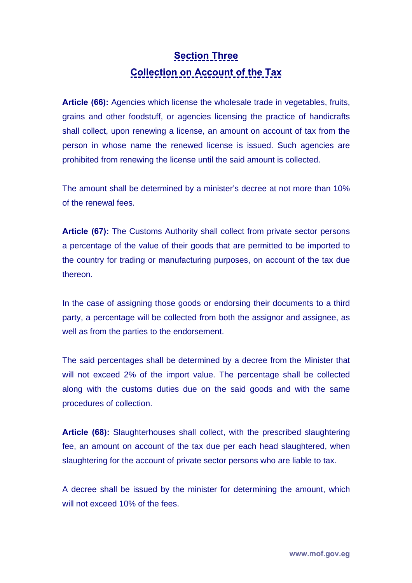### **Section Three Collection on Account of the Tax**

**Article (66):** Agencies which license the wholesale trade in vegetables, fruits, grains and other foodstuff, or agencies licensing the practice of handicrafts shall collect, upon renewing a license, an amount on account of tax from the person in whose name the renewed license is issued. Such agencies are prohibited from renewing the license until the said amount is collected.

The amount shall be determined by a minister's decree at not more than 10% of the renewal fees.

**Article (67):** The Customs Authority shall collect from private sector persons a percentage of the value of their goods that are permitted to be imported to the country for trading or manufacturing purposes, on account of the tax due thereon.

In the case of assigning those goods or endorsing their documents to a third party, a percentage will be collected from both the assignor and assignee, as well as from the parties to the endorsement.

The said percentages shall be determined by a decree from the Minister that will not exceed 2% of the import value. The percentage shall be collected along with the customs duties due on the said goods and with the same procedures of collection.

**Article (68):** Slaughterhouses shall collect, with the prescribed slaughtering fee, an amount on account of the tax due per each head slaughtered, when slaughtering for the account of private sector persons who are liable to tax.

A decree shall be issued by the minister for determining the amount, which will not exceed 10% of the fees.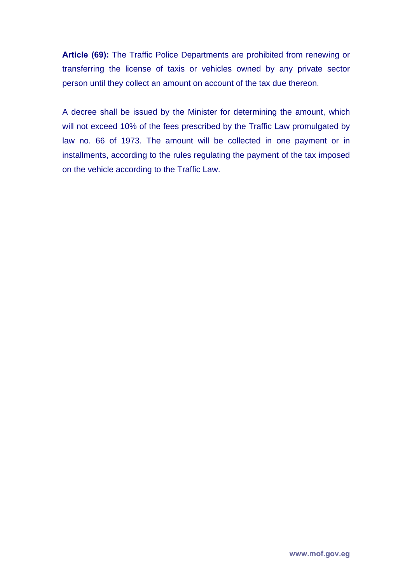**Article (69):** The Traffic Police Departments are prohibited from renewing or transferring the license of taxis or vehicles owned by any private sector person until they collect an amount on account of the tax due thereon.

A decree shall be issued by the Minister for determining the amount, which will not exceed 10% of the fees prescribed by the Traffic Law promulgated by law no. 66 of 1973. The amount will be collected in one payment or in installments, according to the rules regulating the payment of the tax imposed on the vehicle according to the Traffic Law.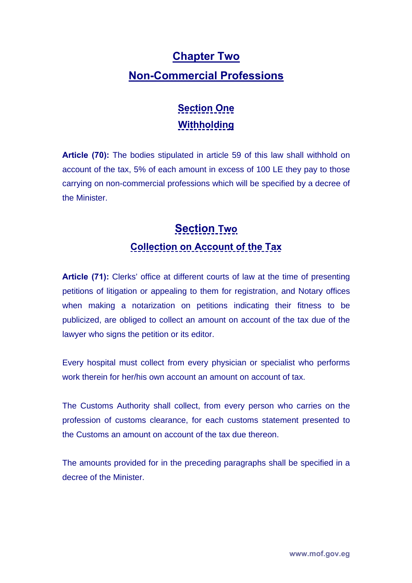## **Chapter Two Non-Commercial Professions**

### **Section One Withholding**

**Article (70):** The bodies stipulated in article 59 of this law shall withhold on account of the tax, 5% of each amount in excess of 100 LE they pay to those carrying on non-commercial professions which will be specified by a decree of the Minister.

## **Section Two Collection on Account of the Tax**

**Article (71):** Clerks' office at different courts of law at the time of presenting petitions of litigation or appealing to them for registration, and Notary offices when making a notarization on petitions indicating their fitness to be publicized, are obliged to collect an amount on account of the tax due of the lawyer who signs the petition or its editor.

Every hospital must collect from every physician or specialist who performs work therein for her/his own account an amount on account of tax.

The Customs Authority shall collect, from every person who carries on the profession of customs clearance, for each customs statement presented to the Customs an amount on account of the tax due thereon.

The amounts provided for in the preceding paragraphs shall be specified in a decree of the Minister.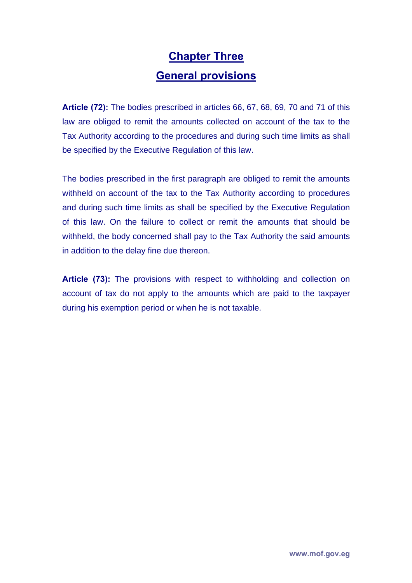## **Chapter Three General provisions**

**Article (72):** The bodies prescribed in articles 66, 67, 68, 69, 70 and 71 of this law are obliged to remit the amounts collected on account of the tax to the Tax Authority according to the procedures and during such time limits as shall be specified by the Executive Regulation of this law.

The bodies prescribed in the first paragraph are obliged to remit the amounts withheld on account of the tax to the Tax Authority according to procedures and during such time limits as shall be specified by the Executive Regulation of this law. On the failure to collect or remit the amounts that should be withheld, the body concerned shall pay to the Tax Authority the said amounts in addition to the delay fine due thereon.

**Article (73):** The provisions with respect to withholding and collection on account of tax do not apply to the amounts which are paid to the taxpayer during his exemption period or when he is not taxable.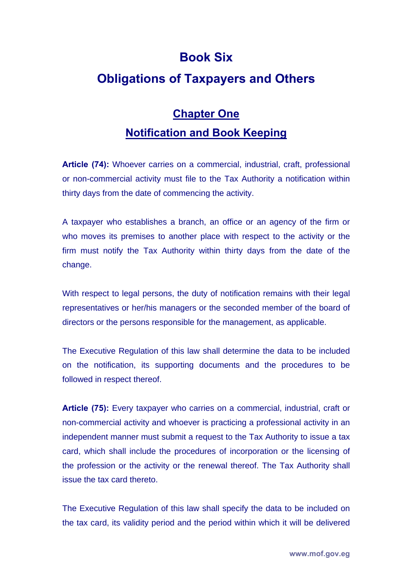#### **Book Six**

#### **Obligations of Taxpayers and Others**

## **Chapter One Notification and Book Keeping**

**Article (74):** Whoever carries on a commercial, industrial, craft, professional or non-commercial activity must file to the Tax Authority a notification within thirty days from the date of commencing the activity.

A taxpayer who establishes a branch, an office or an agency of the firm or who moves its premises to another place with respect to the activity or the firm must notify the Tax Authority within thirty days from the date of the change.

With respect to legal persons, the duty of notification remains with their legal representatives or her/his managers or the seconded member of the board of directors or the persons responsible for the management, as applicable.

The Executive Regulation of this law shall determine the data to be included on the notification, its supporting documents and the procedures to be followed in respect thereof.

**Article (75):** Every taxpayer who carries on a commercial, industrial, craft or non-commercial activity and whoever is practicing a professional activity in an independent manner must submit a request to the Tax Authority to issue a tax card, which shall include the procedures of incorporation or the licensing of the profession or the activity or the renewal thereof. The Tax Authority shall issue the tax card thereto.

The Executive Regulation of this law shall specify the data to be included on the tax card, its validity period and the period within which it will be delivered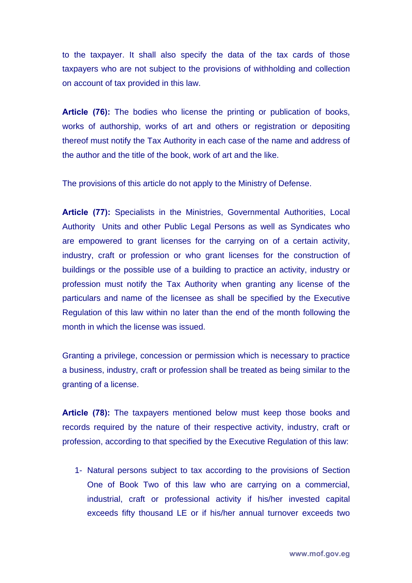to the taxpayer. It shall also specify the data of the tax cards of those taxpayers who are not subject to the provisions of withholding and collection on account of tax provided in this law.

**Article (76):** The bodies who license the printing or publication of books, works of authorship, works of art and others or registration or depositing thereof must notify the Tax Authority in each case of the name and address of the author and the title of the book, work of art and the like.

The provisions of this article do not apply to the Ministry of Defense.

**Article (77):** Specialists in the Ministries, Governmental Authorities, Local Authority Units and other Public Legal Persons as well as Syndicates who are empowered to grant licenses for the carrying on of a certain activity, industry, craft or profession or who grant licenses for the construction of buildings or the possible use of a building to practice an activity, industry or profession must notify the Tax Authority when granting any license of the particulars and name of the licensee as shall be specified by the Executive Regulation of this law within no later than the end of the month following the month in which the license was issued.

Granting a privilege, concession or permission which is necessary to practice a business, industry, craft or profession shall be treated as being similar to the granting of a license.

**Article (78):** The taxpayers mentioned below must keep those books and records required by the nature of their respective activity, industry, craft or profession, according to that specified by the Executive Regulation of this law:

1- Natural persons subject to tax according to the provisions of Section One of Book Two of this law who are carrying on a commercial, industrial, craft or professional activity if his/her invested capital exceeds fifty thousand LE or if his/her annual turnover exceeds two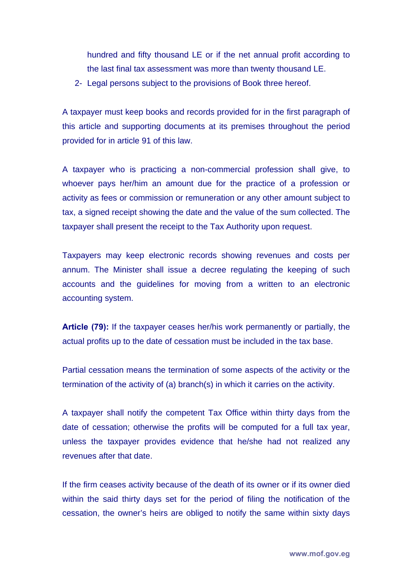hundred and fifty thousand LE or if the net annual profit according to the last final tax assessment was more than twenty thousand LE.

2- Legal persons subject to the provisions of Book three hereof.

A taxpayer must keep books and records provided for in the first paragraph of this article and supporting documents at its premises throughout the period provided for in article 91 of this law.

A taxpayer who is practicing a non-commercial profession shall give, to whoever pays her/him an amount due for the practice of a profession or activity as fees or commission or remuneration or any other amount subject to tax, a signed receipt showing the date and the value of the sum collected. The taxpayer shall present the receipt to the Tax Authority upon request.

Taxpayers may keep electronic records showing revenues and costs per annum. The Minister shall issue a decree regulating the keeping of such accounts and the guidelines for moving from a written to an electronic accounting system.

**Article (79):** If the taxpayer ceases her/his work permanently or partially, the actual profits up to the date of cessation must be included in the tax base.

Partial cessation means the termination of some aspects of the activity or the termination of the activity of (a) branch(s) in which it carries on the activity.

A taxpayer shall notify the competent Tax Office within thirty days from the date of cessation; otherwise the profits will be computed for a full tax year, unless the taxpayer provides evidence that he/she had not realized any revenues after that date.

If the firm ceases activity because of the death of its owner or if its owner died within the said thirty days set for the period of filing the notification of the cessation, the owner's heirs are obliged to notify the same within sixty days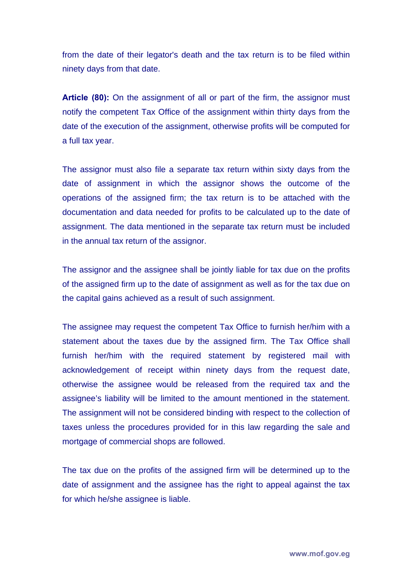from the date of their legator's death and the tax return is to be filed within ninety days from that date.

**Article (80):** On the assignment of all or part of the firm, the assignor must notify the competent Tax Office of the assignment within thirty days from the date of the execution of the assignment, otherwise profits will be computed for a full tax year.

The assignor must also file a separate tax return within sixty days from the date of assignment in which the assignor shows the outcome of the operations of the assigned firm; the tax return is to be attached with the documentation and data needed for profits to be calculated up to the date of assignment. The data mentioned in the separate tax return must be included in the annual tax return of the assignor.

The assignor and the assignee shall be jointly liable for tax due on the profits of the assigned firm up to the date of assignment as well as for the tax due on the capital gains achieved as a result of such assignment.

The assignee may request the competent Tax Office to furnish her/him with a statement about the taxes due by the assigned firm. The Tax Office shall furnish her/him with the required statement by registered mail with acknowledgement of receipt within ninety days from the request date, otherwise the assignee would be released from the required tax and the assignee's liability will be limited to the amount mentioned in the statement. The assignment will not be considered binding with respect to the collection of taxes unless the procedures provided for in this law regarding the sale and mortgage of commercial shops are followed.

The tax due on the profits of the assigned firm will be determined up to the date of assignment and the assignee has the right to appeal against the tax for which he/she assignee is liable.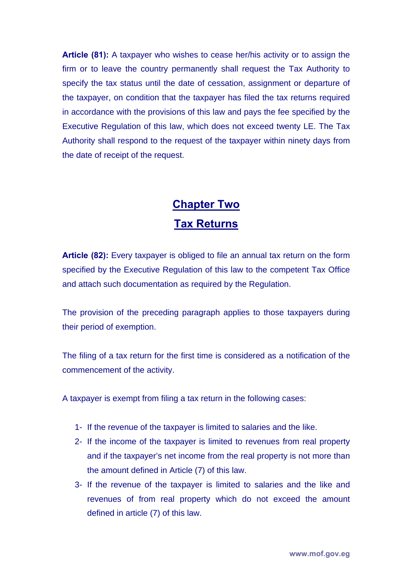**Article (81):** A taxpayer who wishes to cease her/his activity or to assign the firm or to leave the country permanently shall request the Tax Authority to specify the tax status until the date of cessation, assignment or departure of the taxpayer, on condition that the taxpayer has filed the tax returns required in accordance with the provisions of this law and pays the fee specified by the Executive Regulation of this law, which does not exceed twenty LE. The Tax Authority shall respond to the request of the taxpayer within ninety days from the date of receipt of the request.

## **Chapter Two Tax Returns**

**Article (82):** Every taxpayer is obliged to file an annual tax return on the form specified by the Executive Regulation of this law to the competent Tax Office and attach such documentation as required by the Regulation.

The provision of the preceding paragraph applies to those taxpayers during their period of exemption.

The filing of a tax return for the first time is considered as a notification of the commencement of the activity.

A taxpayer is exempt from filing a tax return in the following cases:

- 1- If the revenue of the taxpayer is limited to salaries and the like.
- 2- If the income of the taxpayer is limited to revenues from real property and if the taxpayer's net income from the real property is not more than the amount defined in Article (7) of this law.
- 3- If the revenue of the taxpayer is limited to salaries and the like and revenues of from real property which do not exceed the amount defined in article (7) of this law.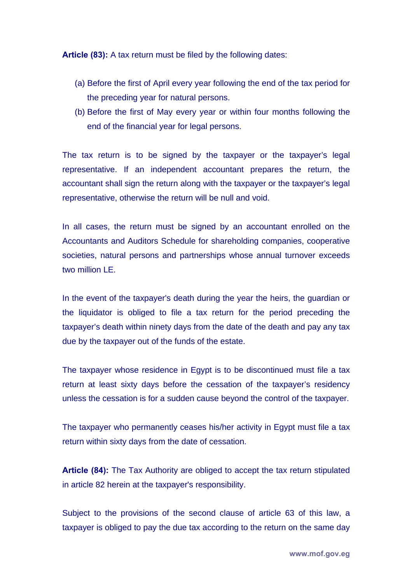**Article (83):** A tax return must be filed by the following dates:

- (a) Before the first of April every year following the end of the tax period for the preceding year for natural persons.
- (b) Before the first of May every year or within four months following the end of the financial year for legal persons.

The tax return is to be signed by the taxpayer or the taxpayer's legal representative. If an independent accountant prepares the return, the accountant shall sign the return along with the taxpayer or the taxpayer's legal representative, otherwise the return will be null and void.

In all cases, the return must be signed by an accountant enrolled on the Accountants and Auditors Schedule for shareholding companies, cooperative societies, natural persons and partnerships whose annual turnover exceeds two million LE.

In the event of the taxpayer's death during the year the heirs, the guardian or the liquidator is obliged to file a tax return for the period preceding the taxpayer's death within ninety days from the date of the death and pay any tax due by the taxpayer out of the funds of the estate.

The taxpayer whose residence in Egypt is to be discontinued must file a tax return at least sixty days before the cessation of the taxpayer's residency unless the cessation is for a sudden cause beyond the control of the taxpayer.

The taxpayer who permanently ceases his/her activity in Egypt must file a tax return within sixty days from the date of cessation.

**Article (84):** The Tax Authority are obliged to accept the tax return stipulated in article 82 herein at the taxpayer's responsibility.

Subject to the provisions of the second clause of article 63 of this law, a taxpayer is obliged to pay the due tax according to the return on the same day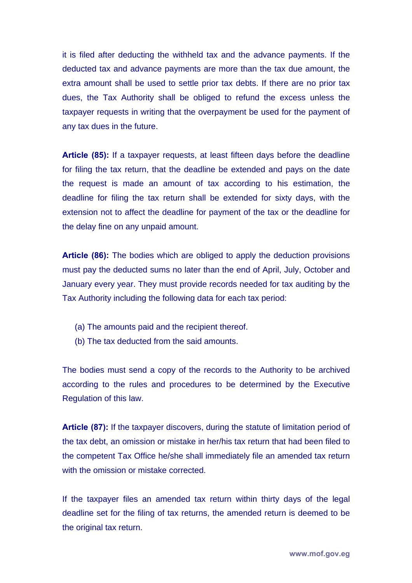it is filed after deducting the withheld tax and the advance payments. If the deducted tax and advance payments are more than the tax due amount, the extra amount shall be used to settle prior tax debts. If there are no prior tax dues, the Tax Authority shall be obliged to refund the excess unless the taxpayer requests in writing that the overpayment be used for the payment of any tax dues in the future.

**Article (85):** If a taxpayer requests, at least fifteen days before the deadline for filing the tax return, that the deadline be extended and pays on the date the request is made an amount of tax according to his estimation, the deadline for filing the tax return shall be extended for sixty days, with the extension not to affect the deadline for payment of the tax or the deadline for the delay fine on any unpaid amount.

**Article (86):** The bodies which are obliged to apply the deduction provisions must pay the deducted sums no later than the end of April, July, October and January every year. They must provide records needed for tax auditing by the Tax Authority including the following data for each tax period:

- (a) The amounts paid and the recipient thereof.
- (b) The tax deducted from the said amounts.

The bodies must send a copy of the records to the Authority to be archived according to the rules and procedures to be determined by the Executive Regulation of this law.

**Article (87):** If the taxpayer discovers, during the statute of limitation period of the tax debt, an omission or mistake in her/his tax return that had been filed to the competent Tax Office he/she shall immediately file an amended tax return with the omission or mistake corrected.

If the taxpayer files an amended tax return within thirty days of the legal deadline set for the filing of tax returns, the amended return is deemed to be the original tax return.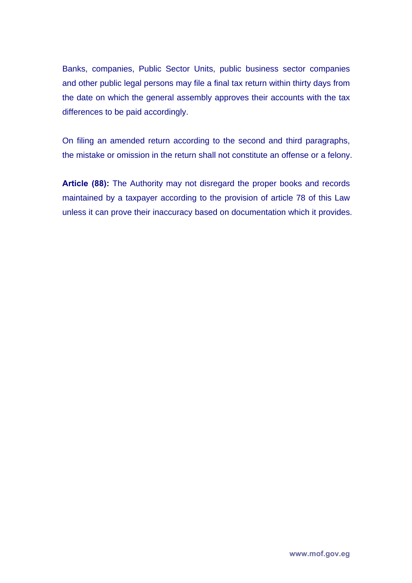Banks, companies, Public Sector Units, public business sector companies and other public legal persons may file a final tax return within thirty days from the date on which the general assembly approves their accounts with the tax differences to be paid accordingly.

On filing an amended return according to the second and third paragraphs, the mistake or omission in the return shall not constitute an offense or a felony.

**Article (88):** The Authority may not disregard the proper books and records maintained by a taxpayer according to the provision of article 78 of this Law unless it can prove their inaccuracy based on documentation which it provides.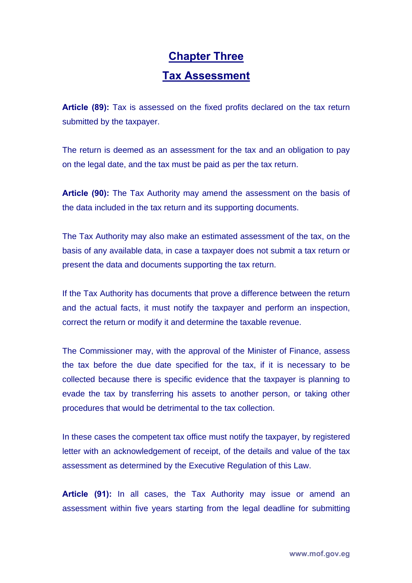### **Chapter Three Tax Assessment**

**Article (89):** Tax is assessed on the fixed profits declared on the tax return submitted by the taxpayer.

The return is deemed as an assessment for the tax and an obligation to pay on the legal date, and the tax must be paid as per the tax return.

**Article (90):** The Tax Authority may amend the assessment on the basis of the data included in the tax return and its supporting documents.

The Tax Authority may also make an estimated assessment of the tax, on the basis of any available data, in case a taxpayer does not submit a tax return or present the data and documents supporting the tax return.

If the Tax Authority has documents that prove a difference between the return and the actual facts, it must notify the taxpayer and perform an inspection, correct the return or modify it and determine the taxable revenue.

The Commissioner may, with the approval of the Minister of Finance, assess the tax before the due date specified for the tax, if it is necessary to be collected because there is specific evidence that the taxpayer is planning to evade the tax by transferring his assets to another person, or taking other procedures that would be detrimental to the tax collection.

In these cases the competent tax office must notify the taxpayer, by registered letter with an acknowledgement of receipt, of the details and value of the tax assessment as determined by the Executive Regulation of this Law.

**Article (91):** In all cases, the Tax Authority may issue or amend an assessment within five years starting from the legal deadline for submitting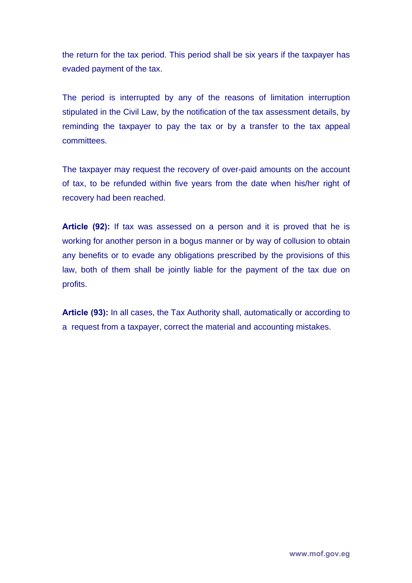the return for the tax period. This period shall be six years if the taxpayer has evaded payment of the tax.

The period is interrupted by any of the reasons of limitation interruption stipulated in the Civil Law, by the notification of the tax assessment details, by reminding the taxpayer to pay the tax or by a transfer to the tax appeal committees.

The taxpayer may request the recovery of over-paid amounts on the account of tax, to be refunded within five years from the date when his/her right of recovery had been reached.

**Article (92):** If tax was assessed on a person and it is proved that he is working for another person in a bogus manner or by way of collusion to obtain any benefits or to evade any obligations prescribed by the provisions of this law, both of them shall be jointly liable for the payment of the tax due on profits.

**Article (93):** In all cases, the Tax Authority shall, automatically or according to a request from a taxpayer, correct the material and accounting mistakes.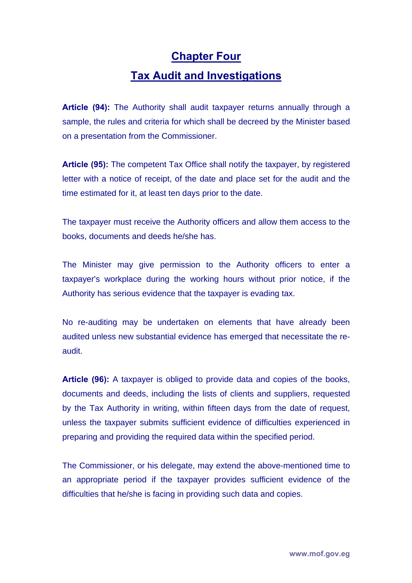#### **Chapter Four**

#### **Tax Audit and Investigations**

**Article (94):** The Authority shall audit taxpayer returns annually through a sample, the rules and criteria for which shall be decreed by the Minister based on a presentation from the Commissioner.

**Article (95):** The competent Tax Office shall notify the taxpayer, by registered letter with a notice of receipt, of the date and place set for the audit and the time estimated for it, at least ten days prior to the date.

The taxpayer must receive the Authority officers and allow them access to the books, documents and deeds he/she has.

The Minister may give permission to the Authority officers to enter a taxpayer's workplace during the working hours without prior notice, if the Authority has serious evidence that the taxpayer is evading tax.

No re-auditing may be undertaken on elements that have already been audited unless new substantial evidence has emerged that necessitate the reaudit.

**Article (96):** A taxpayer is obliged to provide data and copies of the books, documents and deeds, including the lists of clients and suppliers, requested by the Tax Authority in writing, within fifteen days from the date of request, unless the taxpayer submits sufficient evidence of difficulties experienced in preparing and providing the required data within the specified period.

The Commissioner, or his delegate, may extend the above-mentioned time to an appropriate period if the taxpayer provides sufficient evidence of the difficulties that he/she is facing in providing such data and copies.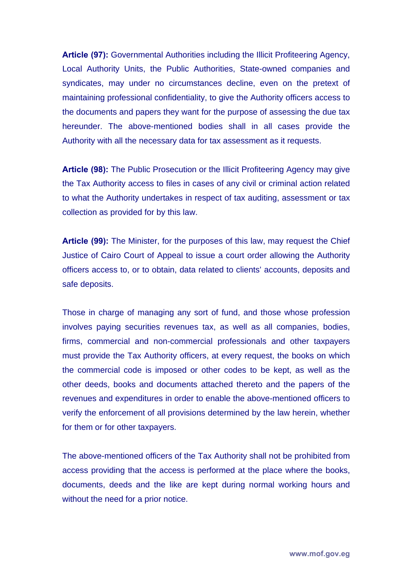**Article (97):** Governmental Authorities including the Illicit Profiteering Agency, Local Authority Units, the Public Authorities, State-owned companies and syndicates, may under no circumstances decline, even on the pretext of maintaining professional confidentiality, to give the Authority officers access to the documents and papers they want for the purpose of assessing the due tax hereunder. The above-mentioned bodies shall in all cases provide the Authority with all the necessary data for tax assessment as it requests.

**Article (98):** The Public Prosecution or the Illicit Profiteering Agency may give the Tax Authority access to files in cases of any civil or criminal action related to what the Authority undertakes in respect of tax auditing, assessment or tax collection as provided for by this law.

**Article (99):** The Minister, for the purposes of this law, may request the Chief Justice of Cairo Court of Appeal to issue a court order allowing the Authority officers access to, or to obtain, data related to clients' accounts, deposits and safe deposits.

Those in charge of managing any sort of fund, and those whose profession involves paying securities revenues tax, as well as all companies, bodies, firms, commercial and non-commercial professionals and other taxpayers must provide the Tax Authority officers, at every request, the books on which the commercial code is imposed or other codes to be kept, as well as the other deeds, books and documents attached thereto and the papers of the revenues and expenditures in order to enable the above-mentioned officers to verify the enforcement of all provisions determined by the law herein, whether for them or for other taxpayers.

The above-mentioned officers of the Tax Authority shall not be prohibited from access providing that the access is performed at the place where the books, documents, deeds and the like are kept during normal working hours and without the need for a prior notice.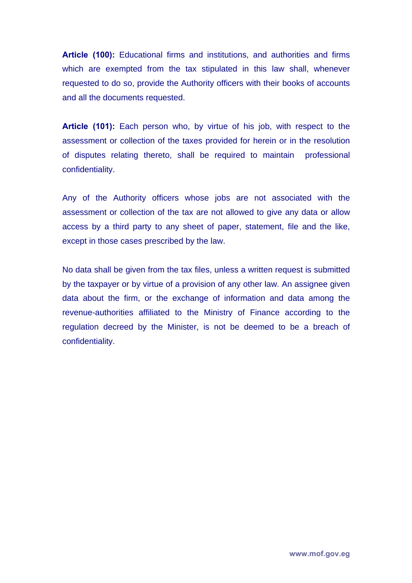**Article (100):** Educational firms and institutions, and authorities and firms which are exempted from the tax stipulated in this law shall, whenever requested to do so, provide the Authority officers with their books of accounts and all the documents requested.

**Article (101):** Each person who, by virtue of his job, with respect to the assessment or collection of the taxes provided for herein or in the resolution of disputes relating thereto, shall be required to maintain professional confidentiality.

Any of the Authority officers whose jobs are not associated with the assessment or collection of the tax are not allowed to give any data or allow access by a third party to any sheet of paper, statement, file and the like, except in those cases prescribed by the law.

No data shall be given from the tax files, unless a written request is submitted by the taxpayer or by virtue of a provision of any other law. An assignee given data about the firm, or the exchange of information and data among the revenue-authorities affiliated to the Ministry of Finance according to the regulation decreed by the Minister, is not be deemed to be a breach of confidentiality.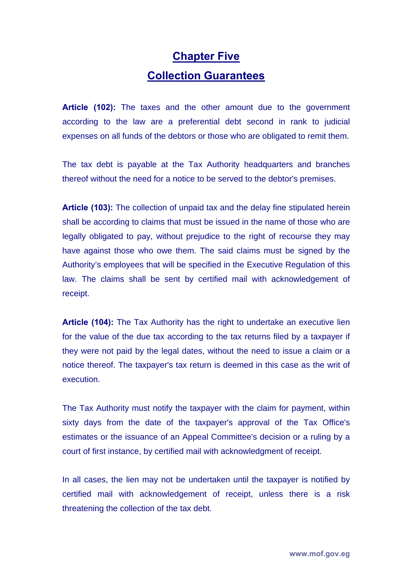## **Chapter Five Collection Guarantees**

**Article (102):** The taxes and the other amount due to the government according to the law are a preferential debt second in rank to judicial expenses on all funds of the debtors or those who are obligated to remit them.

The tax debt is payable at the Tax Authority headquarters and branches thereof without the need for a notice to be served to the debtor's premises.

**Article (103):** The collection of unpaid tax and the delay fine stipulated herein shall be according to claims that must be issued in the name of those who are legally obligated to pay, without prejudice to the right of recourse they may have against those who owe them. The said claims must be signed by the Authority's employees that will be specified in the Executive Regulation of this law. The claims shall be sent by certified mail with acknowledgement of receipt.

**Article (104):** The Tax Authority has the right to undertake an executive lien for the value of the due tax according to the tax returns filed by a taxpayer if they were not paid by the legal dates, without the need to issue a claim or a notice thereof. The taxpayer's tax return is deemed in this case as the writ of execution.

The Tax Authority must notify the taxpayer with the claim for payment, within sixty days from the date of the taxpayer's approval of the Tax Office's estimates or the issuance of an Appeal Committee's decision or a ruling by a court of first instance, by certified mail with acknowledgment of receipt.

In all cases, the lien may not be undertaken until the taxpayer is notified by certified mail with acknowledgement of receipt, unless there is a risk threatening the collection of the tax debt.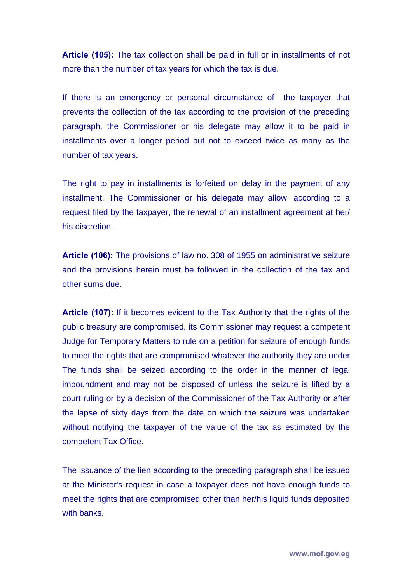**Article (105):** The tax collection shall be paid in full or in installments of not more than the number of tax years for which the tax is due.

If there is an emergency or personal circumstance of the taxpayer that prevents the collection of the tax according to the provision of the preceding paragraph, the Commissioner or his delegate may allow it to be paid in installments over a longer period but not to exceed twice as many as the number of tax years.

The right to pay in installments is forfeited on delay in the payment of any installment. The Commissioner or his delegate may allow, according to a request filed by the taxpayer, the renewal of an installment agreement at her/ his discretion.

**Article (106):** The provisions of law no. 308 of 1955 on administrative seizure and the provisions herein must be followed in the collection of the tax and other sums due.

**Article (107):** If it becomes evident to the Tax Authority that the rights of the public treasury are compromised, its Commissioner may request a competent Judge for Temporary Matters to rule on a petition for seizure of enough funds to meet the rights that are compromised whatever the authority they are under. The funds shall be seized according to the order in the manner of legal impoundment and may not be disposed of unless the seizure is lifted by a court ruling or by a decision of the Commissioner of the Tax Authority or after the lapse of sixty days from the date on which the seizure was undertaken without notifying the taxpayer of the value of the tax as estimated by the competent Tax Office.

The issuance of the lien according to the preceding paragraph shall be issued at the Minister's request in case a taxpayer does not have enough funds to meet the rights that are compromised other than her/his liquid funds deposited with banks.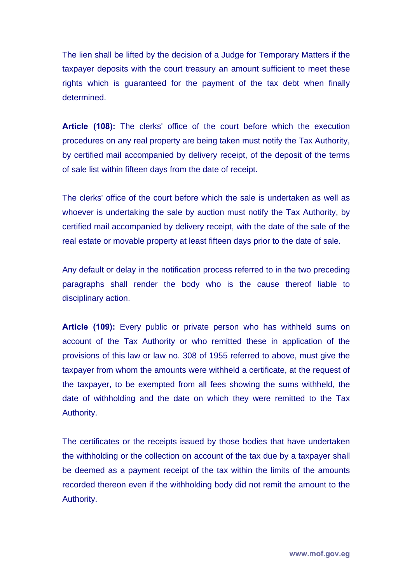The lien shall be lifted by the decision of a Judge for Temporary Matters if the taxpayer deposits with the court treasury an amount sufficient to meet these rights which is guaranteed for the payment of the tax debt when finally determined.

**Article (108):** The clerks' office of the court before which the execution procedures on any real property are being taken must notify the Tax Authority, by certified mail accompanied by delivery receipt, of the deposit of the terms of sale list within fifteen days from the date of receipt.

The clerks' office of the court before which the sale is undertaken as well as whoever is undertaking the sale by auction must notify the Tax Authority, by certified mail accompanied by delivery receipt, with the date of the sale of the real estate or movable property at least fifteen days prior to the date of sale.

Any default or delay in the notification process referred to in the two preceding paragraphs shall render the body who is the cause thereof liable to disciplinary action.

**Article (109):** Every public or private person who has withheld sums on account of the Tax Authority or who remitted these in application of the provisions of this law or law no. 308 of 1955 referred to above, must give the taxpayer from whom the amounts were withheld a certificate, at the request of the taxpayer, to be exempted from all fees showing the sums withheld, the date of withholding and the date on which they were remitted to the Tax Authority.

The certificates or the receipts issued by those bodies that have undertaken the withholding or the collection on account of the tax due by a taxpayer shall be deemed as a payment receipt of the tax within the limits of the amounts recorded thereon even if the withholding body did not remit the amount to the Authority.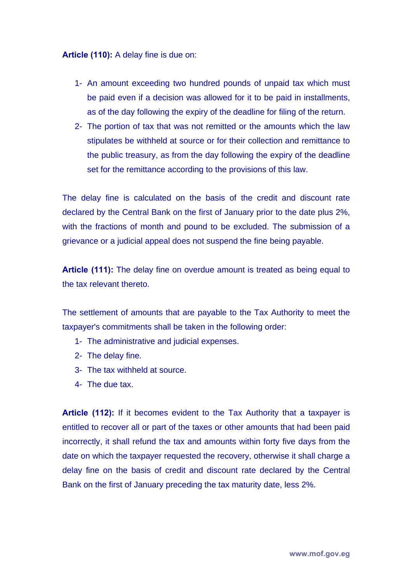**Article (110):** A delay fine is due on:

- 1- An amount exceeding two hundred pounds of unpaid tax which must be paid even if a decision was allowed for it to be paid in installments, as of the day following the expiry of the deadline for filing of the return.
- 2- The portion of tax that was not remitted or the amounts which the law stipulates be withheld at source or for their collection and remittance to the public treasury, as from the day following the expiry of the deadline set for the remittance according to the provisions of this law.

The delay fine is calculated on the basis of the credit and discount rate declared by the Central Bank on the first of January prior to the date plus 2%, with the fractions of month and pound to be excluded. The submission of a grievance or a judicial appeal does not suspend the fine being payable.

**Article (111):** The delay fine on overdue amount is treated as being equal to the tax relevant thereto.

The settlement of amounts that are payable to the Tax Authority to meet the taxpayer's commitments shall be taken in the following order:

- 1- The administrative and judicial expenses.
- 2- The delay fine.
- 3- The tax withheld at source.
- 4- The due tax.

**Article (112):** If it becomes evident to the Tax Authority that a taxpayer is entitled to recover all or part of the taxes or other amounts that had been paid incorrectly, it shall refund the tax and amounts within forty five days from the date on which the taxpayer requested the recovery, otherwise it shall charge a delay fine on the basis of credit and discount rate declared by the Central Bank on the first of January preceding the tax maturity date, less 2%.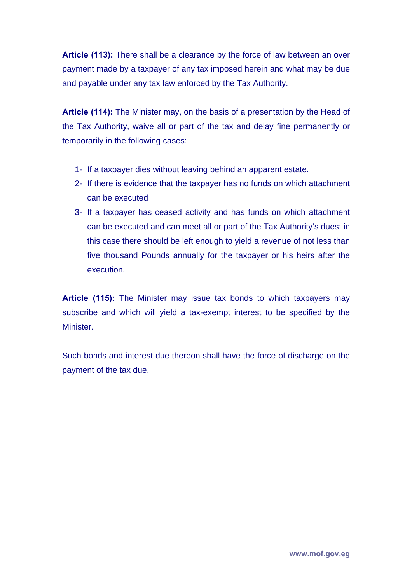**Article (113):** There shall be a clearance by the force of law between an over payment made by a taxpayer of any tax imposed herein and what may be due and payable under any tax law enforced by the Tax Authority.

**Article (114):** The Minister may, on the basis of a presentation by the Head of the Tax Authority, waive all or part of the tax and delay fine permanently or temporarily in the following cases:

- 1- If a taxpayer dies without leaving behind an apparent estate.
- 2- If there is evidence that the taxpayer has no funds on which attachment can be executed
- 3- If a taxpayer has ceased activity and has funds on which attachment can be executed and can meet all or part of the Tax Authority's dues; in this case there should be left enough to yield a revenue of not less than five thousand Pounds annually for the taxpayer or his heirs after the execution.

**Article (115):** The Minister may issue tax bonds to which taxpayers may subscribe and which will yield a tax-exempt interest to be specified by the **Minister** 

Such bonds and interest due thereon shall have the force of discharge on the payment of the tax due.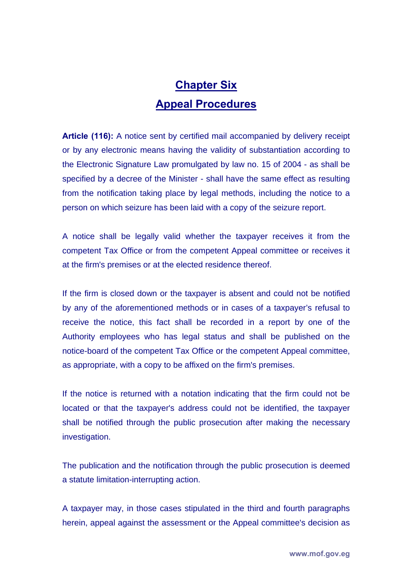## **Chapter Six Appeal Procedures**

**Article (116):** A notice sent by certified mail accompanied by delivery receipt or by any electronic means having the validity of substantiation according to the Electronic Signature Law promulgated by law no. 15 of 2004 - as shall be specified by a decree of the Minister - shall have the same effect as resulting from the notification taking place by legal methods, including the notice to a person on which seizure has been laid with a copy of the seizure report.

A notice shall be legally valid whether the taxpayer receives it from the competent Tax Office or from the competent Appeal committee or receives it at the firm's premises or at the elected residence thereof.

If the firm is closed down or the taxpayer is absent and could not be notified by any of the aforementioned methods or in cases of a taxpayer's refusal to receive the notice, this fact shall be recorded in a report by one of the Authority employees who has legal status and shall be published on the notice-board of the competent Tax Office or the competent Appeal committee, as appropriate, with a copy to be affixed on the firm's premises.

If the notice is returned with a notation indicating that the firm could not be located or that the taxpayer's address could not be identified, the taxpayer shall be notified through the public prosecution after making the necessary investigation.

The publication and the notification through the public prosecution is deemed a statute limitation-interrupting action.

A taxpayer may, in those cases stipulated in the third and fourth paragraphs herein, appeal against the assessment or the Appeal committee's decision as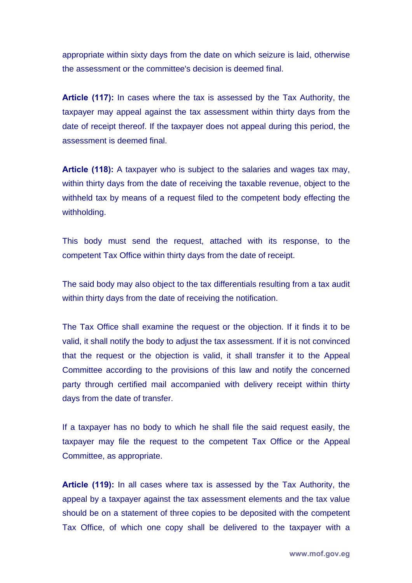appropriate within sixty days from the date on which seizure is laid, otherwise the assessment or the committee's decision is deemed final.

**Article (117):** In cases where the tax is assessed by the Tax Authority, the taxpayer may appeal against the tax assessment within thirty days from the date of receipt thereof. If the taxpayer does not appeal during this period, the assessment is deemed final.

**Article (118):** A taxpayer who is subject to the salaries and wages tax may, within thirty days from the date of receiving the taxable revenue, object to the withheld tax by means of a request filed to the competent body effecting the withholding.

This body must send the request, attached with its response, to the competent Tax Office within thirty days from the date of receipt.

The said body may also object to the tax differentials resulting from a tax audit within thirty days from the date of receiving the notification.

The Tax Office shall examine the request or the objection. If it finds it to be valid, it shall notify the body to adjust the tax assessment. If it is not convinced that the request or the objection is valid, it shall transfer it to the Appeal Committee according to the provisions of this law and notify the concerned party through certified mail accompanied with delivery receipt within thirty days from the date of transfer.

If a taxpayer has no body to which he shall file the said request easily, the taxpayer may file the request to the competent Tax Office or the Appeal Committee, as appropriate.

**Article (119):** In all cases where tax is assessed by the Tax Authority, the appeal by a taxpayer against the tax assessment elements and the tax value should be on a statement of three copies to be deposited with the competent Tax Office, of which one copy shall be delivered to the taxpayer with a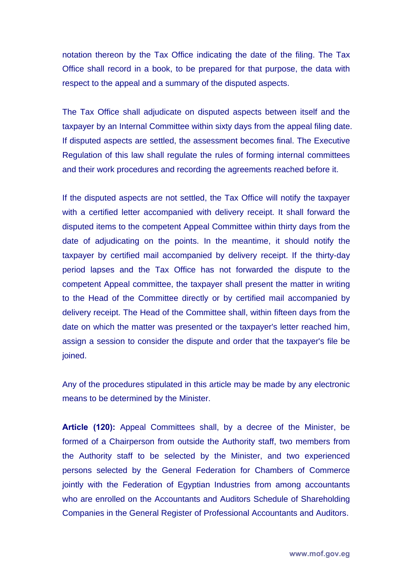notation thereon by the Tax Office indicating the date of the filing. The Tax Office shall record in a book, to be prepared for that purpose, the data with respect to the appeal and a summary of the disputed aspects.

The Tax Office shall adjudicate on disputed aspects between itself and the taxpayer by an Internal Committee within sixty days from the appeal filing date. If disputed aspects are settled, the assessment becomes final. The Executive Regulation of this law shall regulate the rules of forming internal committees and their work procedures and recording the agreements reached before it.

If the disputed aspects are not settled, the Tax Office will notify the taxpayer with a certified letter accompanied with delivery receipt. It shall forward the disputed items to the competent Appeal Committee within thirty days from the date of adjudicating on the points. In the meantime, it should notify the taxpayer by certified mail accompanied by delivery receipt. If the thirty-day period lapses and the Tax Office has not forwarded the dispute to the competent Appeal committee, the taxpayer shall present the matter in writing to the Head of the Committee directly or by certified mail accompanied by delivery receipt. The Head of the Committee shall, within fifteen days from the date on which the matter was presented or the taxpayer's letter reached him, assign a session to consider the dispute and order that the taxpayer's file be joined.

Any of the procedures stipulated in this article may be made by any electronic means to be determined by the Minister.

**Article (120):** Appeal Committees shall, by a decree of the Minister, be formed of a Chairperson from outside the Authority staff, two members from the Authority staff to be selected by the Minister, and two experienced persons selected by the General Federation for Chambers of Commerce jointly with the Federation of Egyptian Industries from among accountants who are enrolled on the Accountants and Auditors Schedule of Shareholding Companies in the General Register of Professional Accountants and Auditors.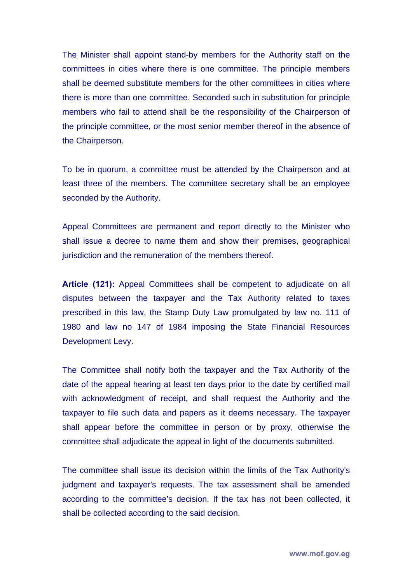The Minister shall appoint stand-by members for the Authority staff on the committees in cities where there is one committee. The principle members shall be deemed substitute members for the other committees in cities where there is more than one committee. Seconded such in substitution for principle members who fail to attend shall be the responsibility of the Chairperson of the principle committee, or the most senior member thereof in the absence of the Chairperson.

To be in quorum, a committee must be attended by the Chairperson and at least three of the members. The committee secretary shall be an employee seconded by the Authority.

Appeal Committees are permanent and report directly to the Minister who shall issue a decree to name them and show their premises, geographical jurisdiction and the remuneration of the members thereof.

**Article (121):** Appeal Committees shall be competent to adjudicate on all disputes between the taxpayer and the Tax Authority related to taxes prescribed in this law, the Stamp Duty Law promulgated by law no. 111 of 1980 and law no 147 of 1984 imposing the State Financial Resources Development Levy.

The Committee shall notify both the taxpayer and the Tax Authority of the date of the appeal hearing at least ten days prior to the date by certified mail with acknowledgment of receipt, and shall request the Authority and the taxpayer to file such data and papers as it deems necessary. The taxpayer shall appear before the committee in person or by proxy, otherwise the committee shall adjudicate the appeal in light of the documents submitted.

The committee shall issue its decision within the limits of the Tax Authority's judgment and taxpayer's requests. The tax assessment shall be amended according to the committee's decision. If the tax has not been collected, it shall be collected according to the said decision.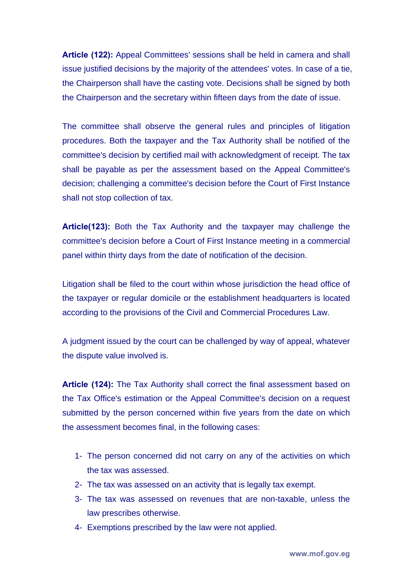**Article (122):** Appeal Committees' sessions shall be held in camera and shall issue justified decisions by the majority of the attendees' votes. In case of a tie, the Chairperson shall have the casting vote. Decisions shall be signed by both the Chairperson and the secretary within fifteen days from the date of issue.

The committee shall observe the general rules and principles of litigation procedures. Both the taxpayer and the Tax Authority shall be notified of the committee's decision by certified mail with acknowledgment of receipt. The tax shall be payable as per the assessment based on the Appeal Committee's decision; challenging a committee's decision before the Court of First Instance shall not stop collection of tax.

**Article(123):** Both the Tax Authority and the taxpayer may challenge the committee's decision before a Court of First Instance meeting in a commercial panel within thirty days from the date of notification of the decision.

Litigation shall be filed to the court within whose jurisdiction the head office of the taxpayer or regular domicile or the establishment headquarters is located according to the provisions of the Civil and Commercial Procedures Law.

A judgment issued by the court can be challenged by way of appeal, whatever the dispute value involved is.

**Article (124):** The Tax Authority shall correct the final assessment based on the Tax Office's estimation or the Appeal Committee's decision on a request submitted by the person concerned within five years from the date on which the assessment becomes final, in the following cases:

- 1- The person concerned did not carry on any of the activities on which the tax was assessed.
- 2- The tax was assessed on an activity that is legally tax exempt.
- 3- The tax was assessed on revenues that are non-taxable, unless the law prescribes otherwise.
- 4- Exemptions prescribed by the law were not applied.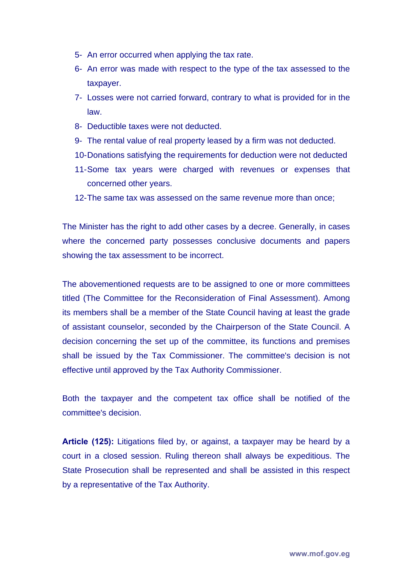- 5- An error occurred when applying the tax rate.
- 6- An error was made with respect to the type of the tax assessed to the taxpayer.
- 7- Losses were not carried forward, contrary to what is provided for in the law.
- 8- Deductible taxes were not deducted.
- 9- The rental value of real property leased by a firm was not deducted.
- 10- Donations satisfying the requirements for deduction were not deducted
- 11- Some tax years were charged with revenues or expenses that concerned other years.
- 12- The same tax was assessed on the same revenue more than once;

The Minister has the right to add other cases by a decree. Generally, in cases where the concerned party possesses conclusive documents and papers showing the tax assessment to be incorrect.

The abovementioned requests are to be assigned to one or more committees titled (The Committee for the Reconsideration of Final Assessment). Among its members shall be a member of the State Council having at least the grade of assistant counselor, seconded by the Chairperson of the State Council. A decision concerning the set up of the committee, its functions and premises shall be issued by the Tax Commissioner. The committee's decision is not effective until approved by the Tax Authority Commissioner.

Both the taxpayer and the competent tax office shall be notified of the committee's decision.

**Article (125):** Litigations filed by, or against, a taxpayer may be heard by a court in a closed session. Ruling thereon shall always be expeditious. The State Prosecution shall be represented and shall be assisted in this respect by a representative of the Tax Authority.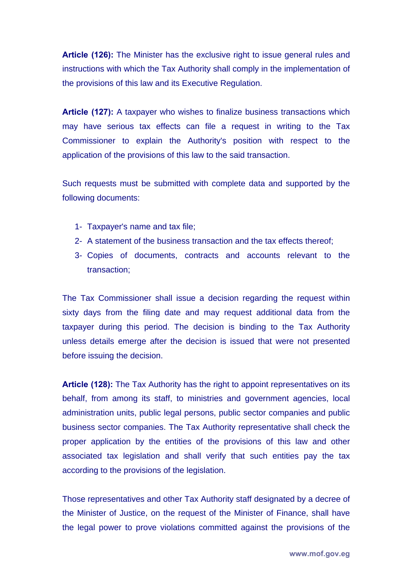**Article (126):** The Minister has the exclusive right to issue general rules and instructions with which the Tax Authority shall comply in the implementation of the provisions of this law and its Executive Regulation.

**Article (127):** A taxpayer who wishes to finalize business transactions which may have serious tax effects can file a request in writing to the Tax Commissioner to explain the Authority's position with respect to the application of the provisions of this law to the said transaction.

Such requests must be submitted with complete data and supported by the following documents:

- 1- Taxpayer's name and tax file;
- 2- A statement of the business transaction and the tax effects thereof;
- 3- Copies of documents, contracts and accounts relevant to the transaction;

The Tax Commissioner shall issue a decision regarding the request within sixty days from the filing date and may request additional data from the taxpayer during this period. The decision is binding to the Tax Authority unless details emerge after the decision is issued that were not presented before issuing the decision.

**Article (128):** The Tax Authority has the right to appoint representatives on its behalf, from among its staff, to ministries and government agencies, local administration units, public legal persons, public sector companies and public business sector companies. The Tax Authority representative shall check the proper application by the entities of the provisions of this law and other associated tax legislation and shall verify that such entities pay the tax according to the provisions of the legislation.

Those representatives and other Tax Authority staff designated by a decree of the Minister of Justice, on the request of the Minister of Finance, shall have the legal power to prove violations committed against the provisions of the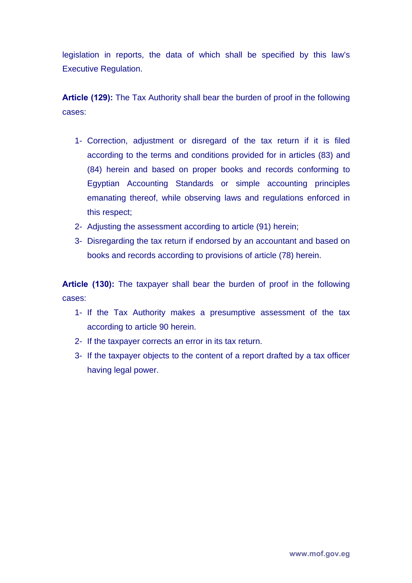legislation in reports, the data of which shall be specified by this law's Executive Regulation.

**Article (129):** The Tax Authority shall bear the burden of proof in the following cases:

- 1- Correction, adjustment or disregard of the tax return if it is filed according to the terms and conditions provided for in articles (83) and (84) herein and based on proper books and records conforming to Egyptian Accounting Standards or simple accounting principles emanating thereof, while observing laws and regulations enforced in this respect;
- 2- Adjusting the assessment according to article (91) herein;
- 3- Disregarding the tax return if endorsed by an accountant and based on books and records according to provisions of article (78) herein.

**Article (130):** The taxpayer shall bear the burden of proof in the following cases:

- 1- If the Tax Authority makes a presumptive assessment of the tax according to article 90 herein.
- 2- If the taxpayer corrects an error in its tax return.
- 3- If the taxpayer objects to the content of a report drafted by a tax officer having legal power.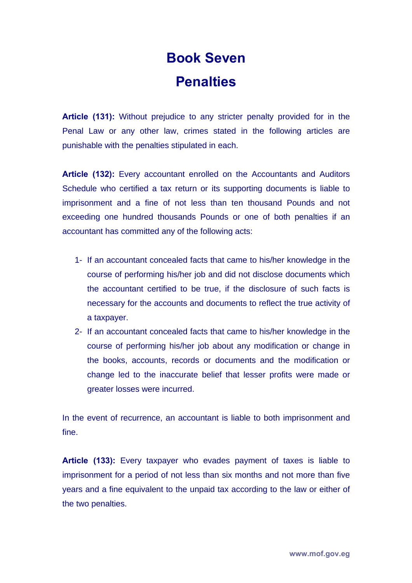## **Book Seven Penalties**

**Article (131):** Without prejudice to any stricter penalty provided for in the Penal Law or any other law, crimes stated in the following articles are punishable with the penalties stipulated in each.

**Article (132):** Every accountant enrolled on the Accountants and Auditors Schedule who certified a tax return or its supporting documents is liable to imprisonment and a fine of not less than ten thousand Pounds and not exceeding one hundred thousands Pounds or one of both penalties if an accountant has committed any of the following acts:

- 1- If an accountant concealed facts that came to his/her knowledge in the course of performing his/her job and did not disclose documents which the accountant certified to be true, if the disclosure of such facts is necessary for the accounts and documents to reflect the true activity of a taxpayer.
- 2- If an accountant concealed facts that came to his/her knowledge in the course of performing his/her job about any modification or change in the books, accounts, records or documents and the modification or change led to the inaccurate belief that lesser profits were made or greater losses were incurred.

In the event of recurrence, an accountant is liable to both imprisonment and fine.

**Article (133):** Every taxpayer who evades payment of taxes is liable to imprisonment for a period of not less than six months and not more than five years and a fine equivalent to the unpaid tax according to the law or either of the two penalties.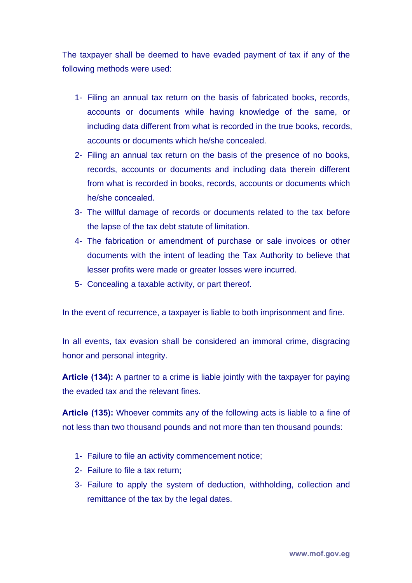The taxpayer shall be deemed to have evaded payment of tax if any of the following methods were used:

- 1- Filing an annual tax return on the basis of fabricated books, records, accounts or documents while having knowledge of the same, or including data different from what is recorded in the true books, records, accounts or documents which he/she concealed.
- 2- Filing an annual tax return on the basis of the presence of no books, records, accounts or documents and including data therein different from what is recorded in books, records, accounts or documents which he/she concealed.
- 3- The willful damage of records or documents related to the tax before the lapse of the tax debt statute of limitation.
- 4- The fabrication or amendment of purchase or sale invoices or other documents with the intent of leading the Tax Authority to believe that lesser profits were made or greater losses were incurred.
- 5- Concealing a taxable activity, or part thereof.

In the event of recurrence, a taxpayer is liable to both imprisonment and fine.

In all events, tax evasion shall be considered an immoral crime, disgracing honor and personal integrity.

**Article (134):** A partner to a crime is liable jointly with the taxpayer for paying the evaded tax and the relevant fines.

**Article (135):** Whoever commits any of the following acts is liable to a fine of not less than two thousand pounds and not more than ten thousand pounds:

- 1- Failure to file an activity commencement notice;
- 2- Failure to file a tax return;
- 3- Failure to apply the system of deduction, withholding, collection and remittance of the tax by the legal dates.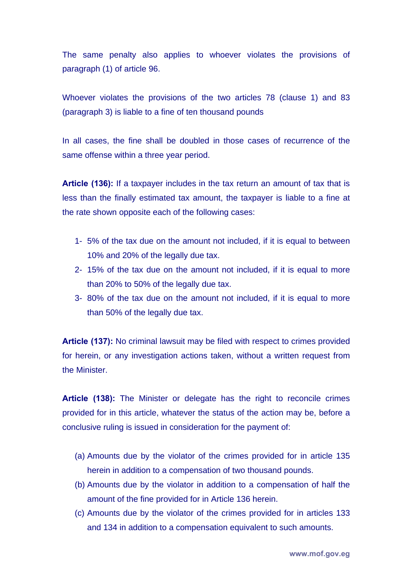The same penalty also applies to whoever violates the provisions of paragraph (1) of article 96.

Whoever violates the provisions of the two articles 78 (clause 1) and 83 (paragraph 3) is liable to a fine of ten thousand pounds

In all cases, the fine shall be doubled in those cases of recurrence of the same offense within a three year period.

**Article (136):** If a taxpayer includes in the tax return an amount of tax that is less than the finally estimated tax amount, the taxpayer is liable to a fine at the rate shown opposite each of the following cases:

- 1- 5% of the tax due on the amount not included, if it is equal to between 10% and 20% of the legally due tax.
- 2- 15% of the tax due on the amount not included, if it is equal to more than 20% to 50% of the legally due tax.
- 3- 80% of the tax due on the amount not included, if it is equal to more than 50% of the legally due tax.

**Article (137):** No criminal lawsuit may be filed with respect to crimes provided for herein, or any investigation actions taken, without a written request from the Minister.

**Article (138):** The Minister or delegate has the right to reconcile crimes provided for in this article, whatever the status of the action may be, before a conclusive ruling is issued in consideration for the payment of:

- (a) Amounts due by the violator of the crimes provided for in article 135 herein in addition to a compensation of two thousand pounds.
- (b) Amounts due by the violator in addition to a compensation of half the amount of the fine provided for in Article 136 herein.
- (c) Amounts due by the violator of the crimes provided for in articles 133 and 134 in addition to a compensation equivalent to such amounts.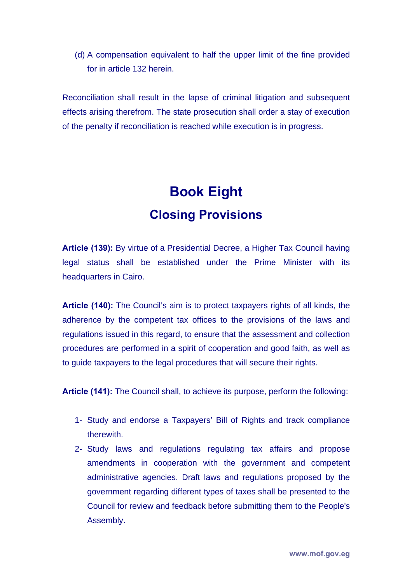(d) A compensation equivalent to half the upper limit of the fine provided for in article 132 herein.

Reconciliation shall result in the lapse of criminal litigation and subsequent effects arising therefrom. The state prosecution shall order a stay of execution of the penalty if reconciliation is reached while execution is in progress.

## **Book Eight Closing Provisions**

**Article (139):** By virtue of a Presidential Decree, a Higher Tax Council having legal status shall be established under the Prime Minister with its headquarters in Cairo.

**Article (140):** The Council's aim is to protect taxpayers rights of all kinds, the adherence by the competent tax offices to the provisions of the laws and regulations issued in this regard, to ensure that the assessment and collection procedures are performed in a spirit of cooperation and good faith, as well as to guide taxpayers to the legal procedures that will secure their rights.

**Article (141):** The Council shall, to achieve its purpose, perform the following:

- 1- Study and endorse a Taxpayers' Bill of Rights and track compliance therewith.
- 2- Study laws and regulations regulating tax affairs and propose amendments in cooperation with the government and competent administrative agencies. Draft laws and regulations proposed by the government regarding different types of taxes shall be presented to the Council for review and feedback before submitting them to the People's Assembly.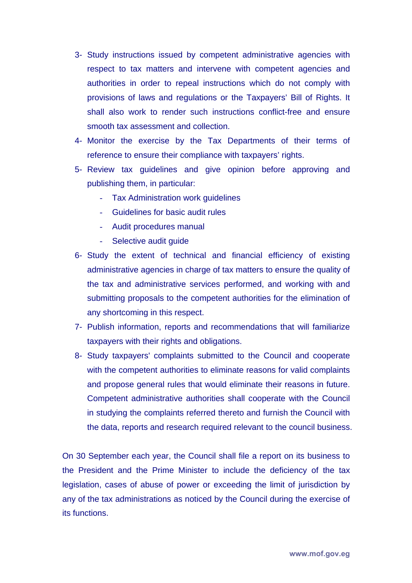- 3- Study instructions issued by competent administrative agencies with respect to tax matters and intervene with competent agencies and authorities in order to repeal instructions which do not comply with provisions of laws and regulations or the Taxpayers' Bill of Rights. It shall also work to render such instructions conflict-free and ensure smooth tax assessment and collection.
- 4- Monitor the exercise by the Tax Departments of their terms of reference to ensure their compliance with taxpayers' rights.
- 5- Review tax guidelines and give opinion before approving and publishing them, in particular:
	- Tax Administration work guidelines
	- Guidelines for basic audit rules
	- Audit procedures manual
	- Selective audit guide
- 6- Study the extent of technical and financial efficiency of existing administrative agencies in charge of tax matters to ensure the quality of the tax and administrative services performed, and working with and submitting proposals to the competent authorities for the elimination of any shortcoming in this respect.
- 7- Publish information, reports and recommendations that will familiarize taxpayers with their rights and obligations.
- 8- Study taxpayers' complaints submitted to the Council and cooperate with the competent authorities to eliminate reasons for valid complaints and propose general rules that would eliminate their reasons in future. Competent administrative authorities shall cooperate with the Council in studying the complaints referred thereto and furnish the Council with the data, reports and research required relevant to the council business.

On 30 September each year, the Council shall file a report on its business to the President and the Prime Minister to include the deficiency of the tax legislation, cases of abuse of power or exceeding the limit of jurisdiction by any of the tax administrations as noticed by the Council during the exercise of its functions.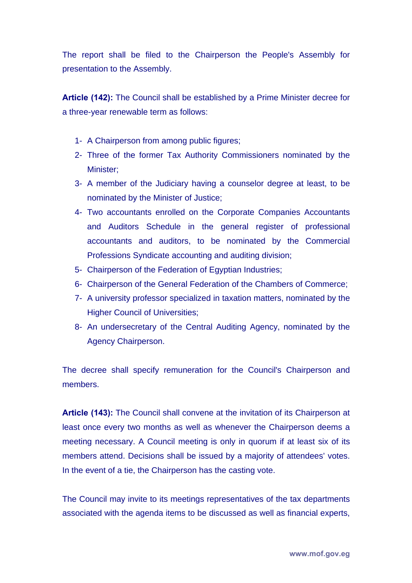The report shall be filed to the Chairperson the People's Assembly for presentation to the Assembly.

**Article (142):** The Council shall be established by a Prime Minister decree for a three-year renewable term as follows:

- 1- A Chairperson from among public figures;
- 2- Three of the former Tax Authority Commissioners nominated by the Minister;
- 3- A member of the Judiciary having a counselor degree at least, to be nominated by the Minister of Justice;
- 4- Two accountants enrolled on the Corporate Companies Accountants and Auditors Schedule in the general register of professional accountants and auditors, to be nominated by the Commercial Professions Syndicate accounting and auditing division;
- 5- Chairperson of the Federation of Egyptian Industries;
- 6- Chairperson of the General Federation of the Chambers of Commerce;
- 7- A university professor specialized in taxation matters, nominated by the Higher Council of Universities;
- 8- An undersecretary of the Central Auditing Agency, nominated by the Agency Chairperson.

The decree shall specify remuneration for the Council's Chairperson and members.

**Article (143):** The Council shall convene at the invitation of its Chairperson at least once every two months as well as whenever the Chairperson deems a meeting necessary. A Council meeting is only in quorum if at least six of its members attend. Decisions shall be issued by a majority of attendees' votes. In the event of a tie, the Chairperson has the casting vote.

The Council may invite to its meetings representatives of the tax departments associated with the agenda items to be discussed as well as financial experts,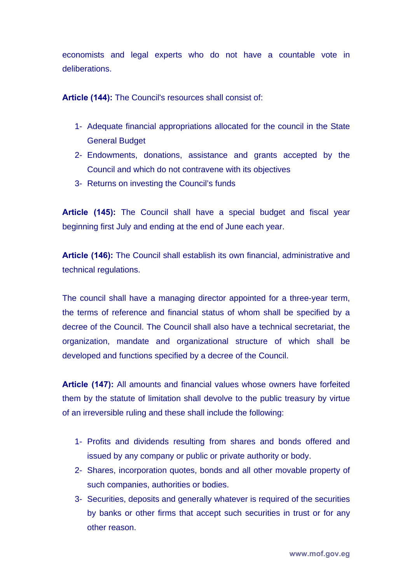economists and legal experts who do not have a countable vote in deliberations.

**Article (144):** The Council's resources shall consist of:

- 1- Adequate financial appropriations allocated for the council in the State General Budget
- 2- Endowments, donations, assistance and grants accepted by the Council and which do not contravene with its objectives
- 3- Returns on investing the Council's funds

**Article (145):** The Council shall have a special budget and fiscal year beginning first July and ending at the end of June each year.

**Article (146):** The Council shall establish its own financial, administrative and technical regulations.

The council shall have a managing director appointed for a three-year term, the terms of reference and financial status of whom shall be specified by a decree of the Council. The Council shall also have a technical secretariat, the organization, mandate and organizational structure of which shall be developed and functions specified by a decree of the Council.

**Article (147):** All amounts and financial values whose owners have forfeited them by the statute of limitation shall devolve to the public treasury by virtue of an irreversible ruling and these shall include the following:

- 1- Profits and dividends resulting from shares and bonds offered and issued by any company or public or private authority or body.
- 2- Shares, incorporation quotes, bonds and all other movable property of such companies, authorities or bodies.
- 3- Securities, deposits and generally whatever is required of the securities by banks or other firms that accept such securities in trust or for any other reason.